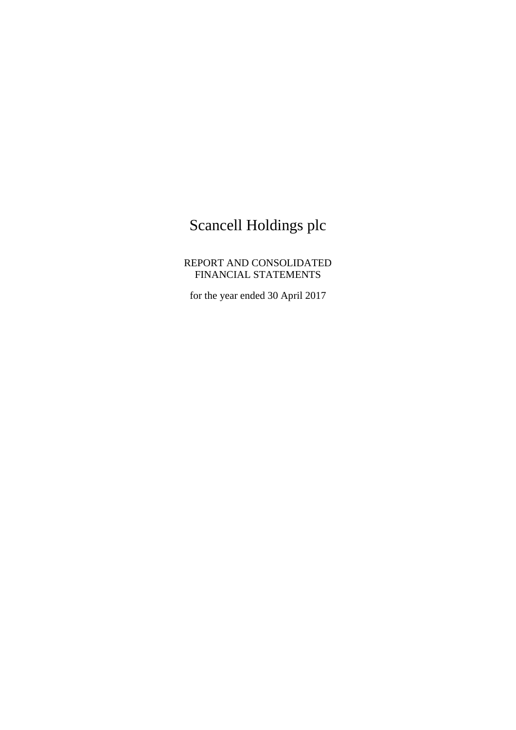# Scancell Holdings plc

REPORT AND CONSOLIDATED FINANCIAL STATEMENTS

for the year ended 30 April 2017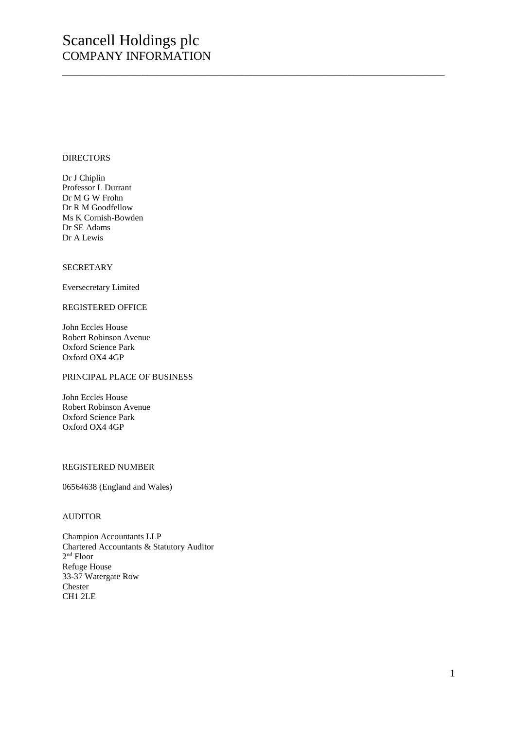# Scancell Holdings plc COMPANY INFORMATION

\_\_\_\_\_\_\_\_\_\_\_\_\_\_\_\_\_\_\_\_\_\_\_\_\_\_\_\_\_\_\_\_\_\_\_\_\_\_\_\_\_\_\_\_\_\_\_\_\_\_\_\_\_\_\_\_\_\_\_\_\_\_\_

### **DIRECTORS**

Dr J Chiplin Professor L Durrant Dr M G W Frohn Dr R M Goodfellow Ms K Cornish-Bowden Dr SE Adams Dr A Lewis

#### **SECRETARY**

Eversecretary Limited

#### REGISTERED OFFICE

John Eccles House Robert Robinson Avenue Oxford Science Park Oxford OX4 4GP

# PRINCIPAL PLACE OF BUSINESS

John Eccles House Robert Robinson Avenue Oxford Science Park Oxford OX4 4GP

# REGISTERED NUMBER

06564638 (England and Wales)

# AUDITOR

Champion Accountants LLP Chartered Accountants & Statutory Auditor 2 nd Floor Refuge House 33-37 Watergate Row Chester CH1 2LE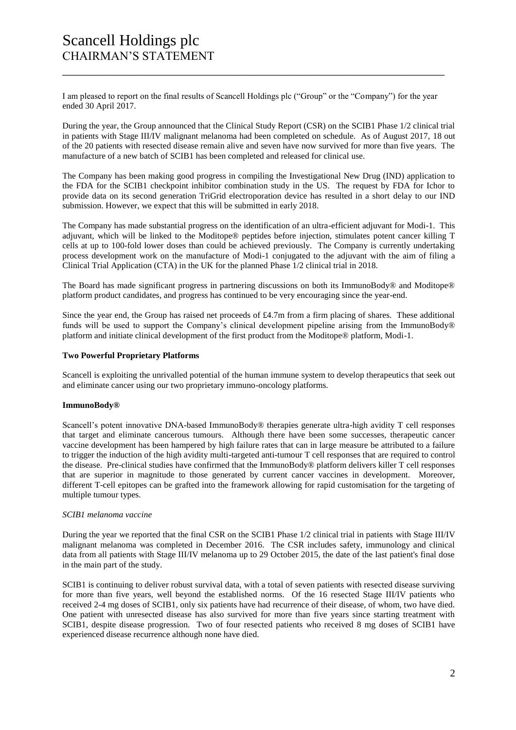I am pleased to report on the final results of Scancell Holdings plc ("Group" or the "Company") for the year ended 30 April 2017.

\_\_\_\_\_\_\_\_\_\_\_\_\_\_\_\_\_\_\_\_\_\_\_\_\_\_\_\_\_\_\_\_\_\_\_\_\_\_\_\_\_\_\_\_\_\_\_\_\_\_\_\_\_\_\_\_\_\_\_\_\_\_\_

During the year, the Group announced that the Clinical Study Report (CSR) on the SCIB1 Phase 1/2 clinical trial in patients with Stage III/IV malignant melanoma had been completed on schedule. As of August 2017, 18 out of the 20 patients with resected disease remain alive and seven have now survived for more than five years. The manufacture of a new batch of SCIB1 has been completed and released for clinical use.

The Company has been making good progress in compiling the Investigational New Drug (IND) application to the FDA for the SCIB1 checkpoint inhibitor combination study in the US. The request by FDA for Ichor to provide data on its second generation TriGrid electroporation device has resulted in a short delay to our IND submission. However, we expect that this will be submitted in early 2018.

The Company has made substantial progress on the identification of an ultra-efficient adjuvant for Modi-1. This adjuvant, which will be linked to the Moditope® peptides before injection, stimulates potent cancer killing T cells at up to 100-fold lower doses than could be achieved previously. The Company is currently undertaking process development work on the manufacture of Modi-1 conjugated to the adjuvant with the aim of filing a Clinical Trial Application (CTA) in the UK for the planned Phase 1/2 clinical trial in 2018.

The Board has made significant progress in partnering discussions on both its ImmunoBody® and Moditope® platform product candidates, and progress has continued to be very encouraging since the year-end.

Since the year end, the Group has raised net proceeds of £4.7m from a firm placing of shares. These additional funds will be used to support the Company's clinical development pipeline arising from the ImmunoBody® platform and initiate clinical development of the first product from the Moditope® platform, Modi-1.

# **Two Powerful Proprietary Platforms**

Scancell is exploiting the unrivalled potential of the human immune system to develop therapeutics that seek out and eliminate cancer using our two proprietary immuno-oncology platforms.

# **ImmunoBody®**

Scancell's potent innovative DNA-based ImmunoBody® therapies generate ultra-high avidity T cell responses that target and eliminate cancerous tumours. Although there have been some successes, therapeutic cancer vaccine development has been hampered by high failure rates that can in large measure be attributed to a failure to trigger the induction of the high avidity multi-targeted anti-tumour T cell responses that are required to control the disease. Pre-clinical studies have confirmed that the ImmunoBody® platform delivers killer T cell responses that are superior in magnitude to those generated by current cancer vaccines in development. Moreover, different T-cell epitopes can be grafted into the framework allowing for rapid customisation for the targeting of multiple tumour types.

# *SCIB1 melanoma vaccine*

During the year we reported that the final CSR on the SCIB1 Phase 1/2 clinical trial in patients with Stage III/IV malignant melanoma was completed in December 2016. The CSR includes safety, immunology and clinical data from all patients with Stage III/IV melanoma up to 29 October 2015, the date of the last patient's final dose in the main part of the study.

SCIB1 is continuing to deliver robust survival data, with a total of seven patients with resected disease surviving for more than five years, well beyond the established norms. Of the 16 resected Stage III/IV patients who received 2-4 mg doses of SCIB1, only six patients have had recurrence of their disease, of whom, two have died. One patient with unresected disease has also survived for more than five years since starting treatment with SCIB1, despite disease progression. Two of four resected patients who received 8 mg doses of SCIB1 have experienced disease recurrence although none have died.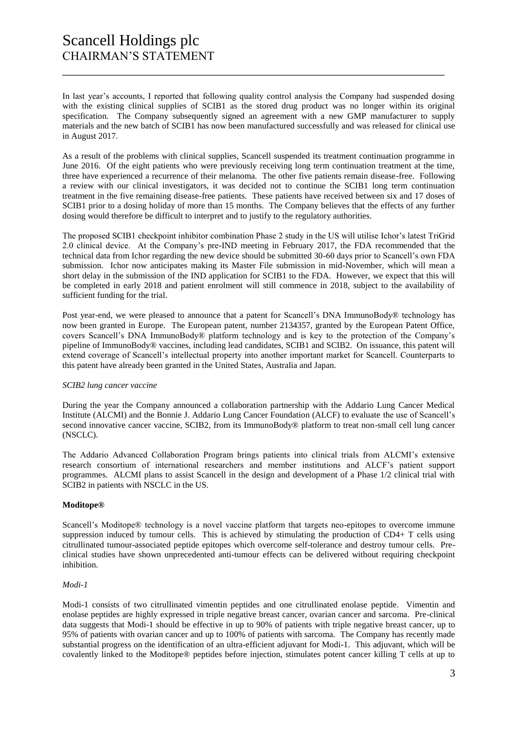# Scancell Holdings plc CHAIRMAN'S STATEMENT

In last year's accounts, I reported that following quality control analysis the Company had suspended dosing with the existing clinical supplies of SCIB1 as the stored drug product was no longer within its original specification. The Company subsequently signed an agreement with a new GMP manufacturer to supply materials and the new batch of SCIB1 has now been manufactured successfully and was released for clinical use in August 2017.

\_\_\_\_\_\_\_\_\_\_\_\_\_\_\_\_\_\_\_\_\_\_\_\_\_\_\_\_\_\_\_\_\_\_\_\_\_\_\_\_\_\_\_\_\_\_\_\_\_\_\_\_\_\_\_\_\_\_\_\_\_\_\_

As a result of the problems with clinical supplies, Scancell suspended its treatment continuation programme in June 2016. Of the eight patients who were previously receiving long term continuation treatment at the time, three have experienced a recurrence of their melanoma. The other five patients remain disease-free. Following a review with our clinical investigators, it was decided not to continue the SCIB1 long term continuation treatment in the five remaining disease-free patients. These patients have received between six and 17 doses of SCIB1 prior to a dosing holiday of more than 15 months. The Company believes that the effects of any further dosing would therefore be difficult to interpret and to justify to the regulatory authorities.

The proposed SCIB1 checkpoint inhibitor combination Phase 2 study in the US will utilise Ichor's latest TriGrid 2.0 clinical device. At the Company's pre-IND meeting in February 2017, the FDA recommended that the technical data from Ichor regarding the new device should be submitted 30-60 days prior to Scancell's own FDA submission. Ichor now anticipates making its Master File submission in mid-November, which will mean a short delay in the submission of the IND application for SCIB1 to the FDA. However, we expect that this will be completed in early 2018 and patient enrolment will still commence in 2018, subject to the availability of sufficient funding for the trial.

Post year-end, we were pleased to announce that a patent for Scancell's DNA ImmunoBody® technology has now been granted in Europe. The European patent, number 2134357, granted by the European Patent Office, covers Scancell's DNA ImmunoBody® platform technology and is key to the protection of the Company's pipeline of ImmunoBody® vaccines, including lead candidates, SCIB1 and SCIB2. On issuance, this patent will extend coverage of Scancell's intellectual property into another important market for Scancell. Counterparts to this patent have already been granted in the United States, Australia and Japan.

# *SCIB2 lung cancer vaccine*

During the year the Company announced a collaboration partnership with the Addario Lung Cancer Medical Institute (ALCMI) and the Bonnie J. Addario Lung Cancer Foundation (ALCF) to evaluate the use of Scancell's second innovative cancer vaccine, SCIB2, from its ImmunoBody® platform to treat non-small cell lung cancer (NSCLC).

The Addario Advanced Collaboration Program brings patients into clinical trials from ALCMI's extensive research consortium of international researchers and member institutions and ALCF's patient support programmes. ALCMI plans to assist Scancell in the design and development of a Phase 1/2 clinical trial with SCIB2 in patients with NSCLC in the US.

# **Moditope®**

Scancell's Moditope® technology is a novel vaccine platform that targets neo-epitopes to overcome immune suppression induced by tumour cells. This is achieved by stimulating the production of CD4+ T cells using citrullinated tumour-associated peptide epitopes which overcome self-tolerance and destroy tumour cells. Preclinical studies have shown unprecedented anti-tumour effects can be delivered without requiring checkpoint inhibition.

#### *Modi-1*

Modi-1 consists of two citrullinated vimentin peptides and one citrullinated enolase peptide. Vimentin and enolase peptides are highly expressed in triple negative breast cancer, ovarian cancer and sarcoma. Pre-clinical data suggests that Modi-1 should be effective in up to 90% of patients with triple negative breast cancer, up to 95% of patients with ovarian cancer and up to 100% of patients with sarcoma. The Company has recently made substantial progress on the identification of an ultra-efficient adjuvant for Modi-1. This adjuvant, which will be covalently linked to the Moditope® peptides before injection, stimulates potent cancer killing T cells at up to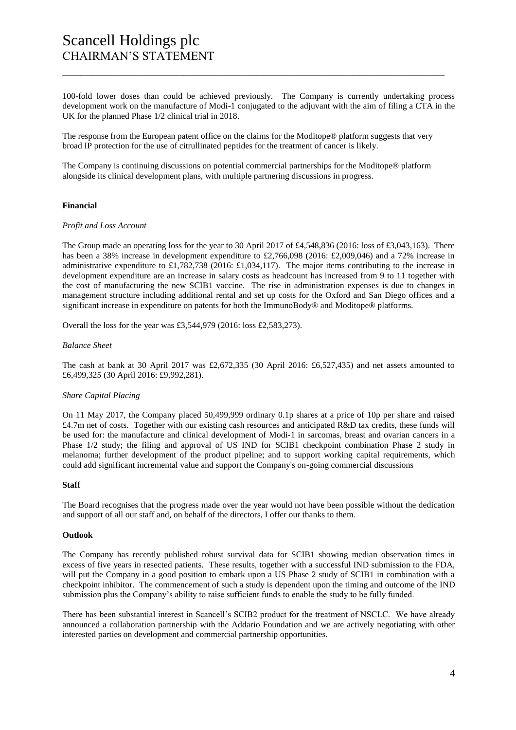# Scancell Holdings plc CHAIRMAN'S STATEMENT

100-fold lower doses than could be achieved previously. The Company is currently undertaking process development work on the manufacture of Modi-1 conjugated to the adjuvant with the aim of filing a CTA in the UK for the planned Phase 1/2 clinical trial in 2018.

\_\_\_\_\_\_\_\_\_\_\_\_\_\_\_\_\_\_\_\_\_\_\_\_\_\_\_\_\_\_\_\_\_\_\_\_\_\_\_\_\_\_\_\_\_\_\_\_\_\_\_\_\_\_\_\_\_\_\_\_\_\_\_

The response from the European patent office on the claims for the Moditope® platform suggests that very broad IP protection for the use of citrullinated peptides for the treatment of cancer is likely.

The Company is continuing discussions on potential commercial partnerships for the Moditope® platform alongside its clinical development plans, with multiple partnering discussions in progress.

# **Financial**

#### *Profit and Loss Account*

The Group made an operating loss for the year to 30 April 2017 of £4,548,836 (2016: loss of £3,043,163). There has been a 38% increase in development expenditure to £2,766,098 (2016: £2,009,046) and a 72% increase in administrative expenditure to £1,782,738 (2016: £1,034,117). The major items contributing to the increase in development expenditure are an increase in salary costs as headcount has increased from 9 to 11 together with the cost of manufacturing the new SCIB1 vaccine. The rise in administration expenses is due to changes in management structure including additional rental and set up costs for the Oxford and San Diego offices and a significant increase in expenditure on patents for both the ImmunoBody® and Moditope® platforms.

Overall the loss for the year was £3,544,979 (2016: loss £2,583,273).

#### *Balance Sheet*

The cash at bank at 30 April 2017 was £2,672,335 (30 April 2016: £6,527,435) and net assets amounted to £6,499,325 (30 April 2016: £9,992,281).

# *Share Capital Placing*

On 11 May 2017, the Company placed 50,499,999 ordinary 0.1p shares at a price of 10p per share and raised £4.7m net of costs. Together with our existing cash resources and anticipated R&D tax credits, these funds will be used for: the manufacture and clinical development of Modi-1 in sarcomas, breast and ovarian cancers in a Phase 1/2 study; the filing and approval of US IND for SCIB1 checkpoint combination Phase 2 study in melanoma; further development of the product pipeline; and to support working capital requirements, which could add significant incremental value and support the Company's on-going commercial discussions

#### **Staff**

The Board recognises that the progress made over the year would not have been possible without the dedication and support of all our staff and, on behalf of the directors, I offer our thanks to them.

# **Outlook**

The Company has recently published robust survival data for SCIB1 showing median observation times in excess of five years in resected patients. These results, together with a successful IND submission to the FDA, will put the Company in a good position to embark upon a US Phase 2 study of SCIB1 in combination with a checkpoint inhibitor. The commencement of such a study is dependent upon the timing and outcome of the IND submission plus the Company's ability to raise sufficient funds to enable the study to be fully funded.

There has been substantial interest in Scancell's SCIB2 product for the treatment of NSCLC. We have already announced a collaboration partnership with the Addario Foundation and we are actively negotiating with other interested parties on development and commercial partnership opportunities.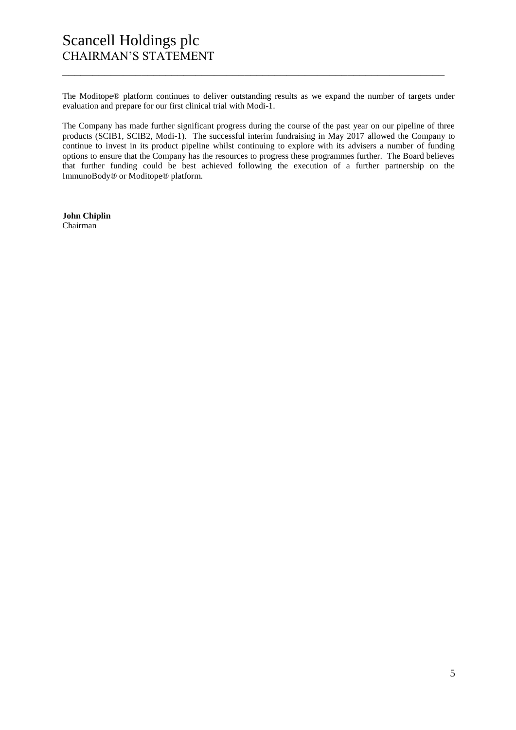# Scancell Holdings plc CHAIRMAN'S STATEMENT

The Moditope® platform continues to deliver outstanding results as we expand the number of targets under evaluation and prepare for our first clinical trial with Modi-1.

\_\_\_\_\_\_\_\_\_\_\_\_\_\_\_\_\_\_\_\_\_\_\_\_\_\_\_\_\_\_\_\_\_\_\_\_\_\_\_\_\_\_\_\_\_\_\_\_\_\_\_\_\_\_\_\_\_\_\_\_\_\_\_

The Company has made further significant progress during the course of the past year on our pipeline of three products (SCIB1, SCIB2, Modi-1). The successful interim fundraising in May 2017 allowed the Company to continue to invest in its product pipeline whilst continuing to explore with its advisers a number of funding options to ensure that the Company has the resources to progress these programmes further. The Board believes that further funding could be best achieved following the execution of a further partnership on the ImmunoBody® or Moditope® platform.

**John Chiplin** Chairman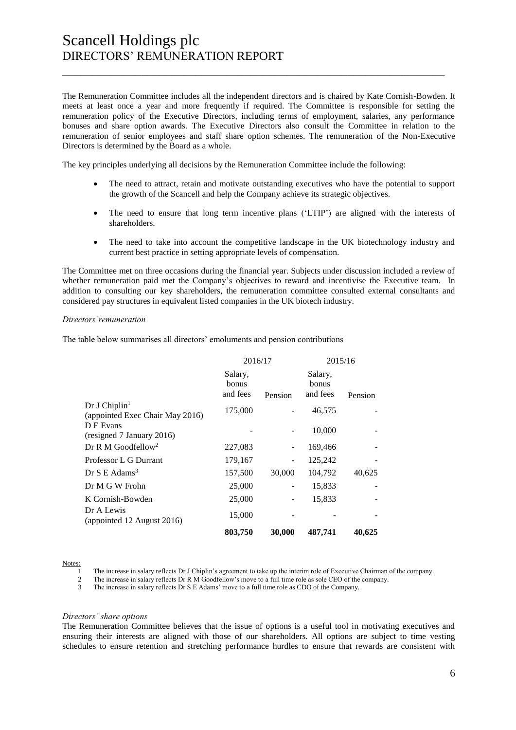# Scancell Holdings plc DIRECTORS' REMUNERATION REPORT

The Remuneration Committee includes all the independent directors and is chaired by Kate Cornish-Bowden. It meets at least once a year and more frequently if required. The Committee is responsible for setting the remuneration policy of the Executive Directors, including terms of employment, salaries, any performance bonuses and share option awards. The Executive Directors also consult the Committee in relation to the remuneration of senior employees and staff share option schemes. The remuneration of the Non-Executive Directors is determined by the Board as a whole.

\_\_\_\_\_\_\_\_\_\_\_\_\_\_\_\_\_\_\_\_\_\_\_\_\_\_\_\_\_\_\_\_\_\_\_\_\_\_\_\_\_\_\_\_\_\_\_\_\_\_\_\_\_\_\_\_\_\_\_\_\_\_\_

The key principles underlying all decisions by the Remuneration Committee include the following:

- The need to attract, retain and motivate outstanding executives who have the potential to support the growth of the Scancell and help the Company achieve its strategic objectives.
- The need to ensure that long term incentive plans ('LTIP') are aligned with the interests of shareholders.
- The need to take into account the competitive landscape in the UK biotechnology industry and current best practice in setting appropriate levels of compensation.

The Committee met on three occasions during the financial year. Subjects under discussion included a review of whether remuneration paid met the Company's objectives to reward and incentivise the Executive team. In addition to consulting our key shareholders, the remuneration committee consulted external consultants and considered pay structures in equivalent listed companies in the UK biotech industry.

#### *Directors'remuneration*

The table below summarises all directors' emoluments and pension contributions

|                                                              | 2016/17                      |         |                              | 2015/16 |  |
|--------------------------------------------------------------|------------------------------|---------|------------------------------|---------|--|
|                                                              | Salary,<br>bonus<br>and fees | Pension | Salary,<br>bonus<br>and fees | Pension |  |
| Dr J Chiplin <sup>1</sup><br>(appointed Exec Chair May 2016) | 175,000                      |         | 46,575                       |         |  |
| D E Evans<br>(resigned 7 January 2016)                       |                              |         | 10,000                       |         |  |
| Dr R M Goodfellow <sup>2</sup>                               | 227,083                      |         | 169,466                      |         |  |
| Professor L G Durrant                                        | 179,167                      |         | 125,242                      |         |  |
| Dr S E Adams <sup>3</sup>                                    | 157,500                      | 30,000  | 104,792                      | 40,625  |  |
| Dr M G W Frohn                                               | 25,000                       |         | 15,833                       |         |  |
| K Cornish-Bowden                                             | 25,000                       |         | 15,833                       |         |  |
| Dr A Lewis<br>(appointed 12 August 2016)                     | 15,000                       |         |                              |         |  |
|                                                              | 803,750                      | 30,000  | 487,741                      | 40.625  |  |

Notes:

1 The increase in salary reflects Dr J Chiplin's agreement to take up the interim role of Executive Chairman of the company.

2 The increase in salary reflects Dr R M Goodfellow's move to a full time role as sole CEO of the company.

3 The increase in salary reflects Dr S E Adams' move to a full time role as CDO of the Company.

#### *Directors' share options*

The Remuneration Committee believes that the issue of options is a useful tool in motivating executives and ensuring their interests are aligned with those of our shareholders. All options are subject to time vesting schedules to ensure retention and stretching performance hurdles to ensure that rewards are consistent with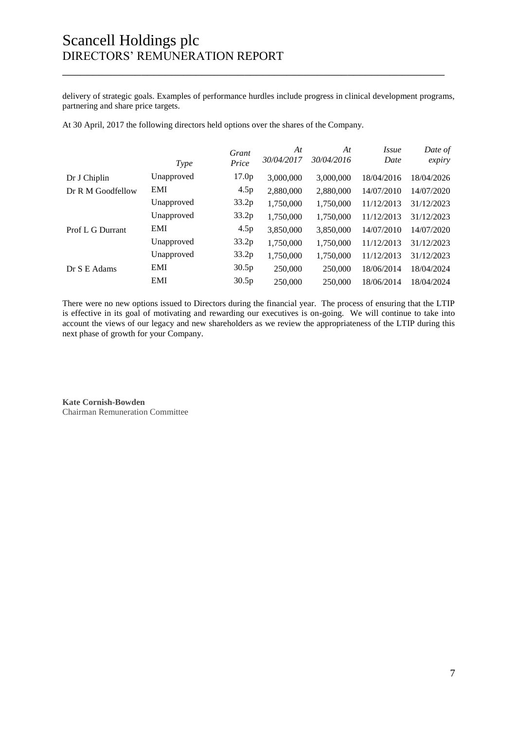delivery of strategic goals. Examples of performance hurdles include progress in clinical development programs, partnering and share price targets.

\_\_\_\_\_\_\_\_\_\_\_\_\_\_\_\_\_\_\_\_\_\_\_\_\_\_\_\_\_\_\_\_\_\_\_\_\_\_\_\_\_\_\_\_\_\_\_\_\_\_\_\_\_\_\_\_\_\_\_\_\_\_\_

At 30 April, 2017 the following directors held options over the shares of the Company.

|                   | <b>Type</b> | Grant<br>Price    | At<br>30/04/2017 | At<br>30/04/2016 | <i>Issue</i><br>Date | Date of<br>expiry |
|-------------------|-------------|-------------------|------------------|------------------|----------------------|-------------------|
| Dr J Chiplin      | Unapproved  | 17.0 <sub>p</sub> | 3,000,000        | 3,000,000        | 18/04/2016           | 18/04/2026        |
| Dr R M Goodfellow | <b>EMI</b>  | 4.5p              | 2,880,000        | 2,880,000        | 14/07/2010           | 14/07/2020        |
|                   | Unapproved  | 33.2p             | 1,750,000        | 1,750,000        | 11/12/2013           | 31/12/2023        |
|                   | Unapproved  | 33.2p             | 1,750,000        | 1,750,000        | 11/12/2013           | 31/12/2023        |
| Prof L G Durrant  | <b>EMI</b>  | 4.5p              | 3,850,000        | 3,850,000        | 14/07/2010           | 14/07/2020        |
|                   | Unapproved  | 33.2p             | 1,750,000        | 1,750,000        | 11/12/2013           | 31/12/2023        |
|                   | Unapproved  | 33.2p             | 1,750,000        | 1,750,000        | 11/12/2013           | 31/12/2023        |
| Dr S E Adams      | EMI         | 30.5p             | 250,000          | 250,000          | 18/06/2014           | 18/04/2024        |
|                   | <b>EMI</b>  | 30.5p             | 250,000          | 250,000          | 18/06/2014           | 18/04/2024        |

There were no new options issued to Directors during the financial year. The process of ensuring that the LTIP is effective in its goal of motivating and rewarding our executives is on-going. We will continue to take into account the views of our legacy and new shareholders as we review the appropriateness of the LTIP during this next phase of growth for your Company.

**Kate Cornish-Bowden** Chairman Remuneration Committee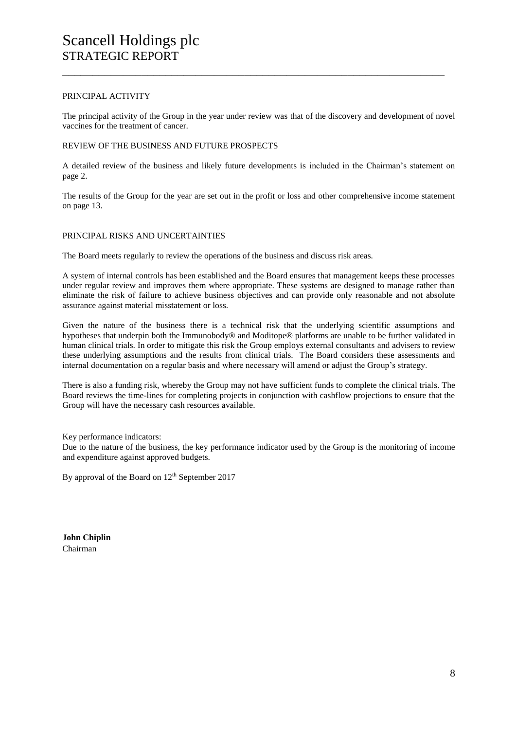#### PRINCIPAL ACTIVITY

The principal activity of the Group in the year under review was that of the discovery and development of novel vaccines for the treatment of cancer.

\_\_\_\_\_\_\_\_\_\_\_\_\_\_\_\_\_\_\_\_\_\_\_\_\_\_\_\_\_\_\_\_\_\_\_\_\_\_\_\_\_\_\_\_\_\_\_\_\_\_\_\_\_\_\_\_\_\_\_\_\_\_\_

# REVIEW OF THE BUSINESS AND FUTURE PROSPECTS

A detailed review of the business and likely future developments is included in the Chairman's statement on page 2.

The results of the Group for the year are set out in the profit or loss and other comprehensive income statement on page 13.

# PRINCIPAL RISKS AND UNCERTAINTIES

The Board meets regularly to review the operations of the business and discuss risk areas.

A system of internal controls has been established and the Board ensures that management keeps these processes under regular review and improves them where appropriate. These systems are designed to manage rather than eliminate the risk of failure to achieve business objectives and can provide only reasonable and not absolute assurance against material misstatement or loss.

Given the nature of the business there is a technical risk that the underlying scientific assumptions and hypotheses that underpin both the Immunobody® and Moditope® platforms are unable to be further validated in human clinical trials. In order to mitigate this risk the Group employs external consultants and advisers to review these underlying assumptions and the results from clinical trials. The Board considers these assessments and internal documentation on a regular basis and where necessary will amend or adjust the Group's strategy.

There is also a funding risk, whereby the Group may not have sufficient funds to complete the clinical trials. The Board reviews the time-lines for completing projects in conjunction with cashflow projections to ensure that the Group will have the necessary cash resources available.

Key performance indicators:

Due to the nature of the business, the key performance indicator used by the Group is the monitoring of income and expenditure against approved budgets.

By approval of the Board on 12<sup>th</sup> September 2017

**John Chiplin** Chairman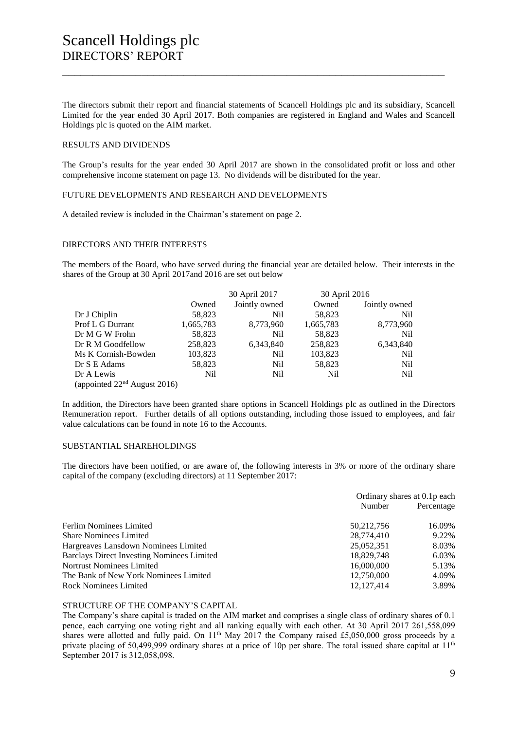# Scancell Holdings plc DIRECTORS' REPORT

The directors submit their report and financial statements of Scancell Holdings plc and its subsidiary, Scancell Limited for the year ended 30 April 2017. Both companies are registered in England and Wales and Scancell Holdings plc is quoted on the AIM market.

\_\_\_\_\_\_\_\_\_\_\_\_\_\_\_\_\_\_\_\_\_\_\_\_\_\_\_\_\_\_\_\_\_\_\_\_\_\_\_\_\_\_\_\_\_\_\_\_\_\_\_\_\_\_\_\_\_\_\_\_\_\_\_

### RESULTS AND DIVIDENDS

The Group's results for the year ended 30 April 2017 are shown in the consolidated profit or loss and other comprehensive income statement on page 13. No dividends will be distributed for the year.

#### FUTURE DEVELOPMENTS AND RESEARCH AND DEVELOPMENTS

A detailed review is included in the Chairman's statement on page 2.

# DIRECTORS AND THEIR INTERESTS

The members of the Board, who have served during the financial year are detailed below. Their interests in the shares of the Group at 30 April 2017and 2016 are set out below

|                                |                 | 30 April 2017 | 30 April 2016 |               |
|--------------------------------|-----------------|---------------|---------------|---------------|
|                                | Owned           | Jointly owned | Owned         | Jointly owned |
| Dr J Chiplin                   | 58,823          | Nil           | 58,823        | Nil           |
| Prof L G Durrant               | 1,665,783       | 8,773,960     | 1,665,783     | 8,773,960     |
| Dr M G W Frohn                 | 58,823          | Nil.          | 58,823        | <b>Nil</b>    |
| Dr R M Goodfellow              | 258,823         | 6,343,840     | 258,823       | 6,343,840     |
| Ms K Cornish-Bowden            | 103,823         | Nil           | 103,823       | Nil           |
| Dr S E Adams                   | 58,823          | Nil           | 58,823        | <b>Nil</b>    |
| Dr A Lewis                     | N <sub>il</sub> | Nil.          | Nil           | <b>Nil</b>    |
| (appointed $22nd$ August 2016) |                 |               |               |               |

In addition, the Directors have been granted share options in Scancell Holdings plc as outlined in the Directors Remuneration report. Further details of all options outstanding, including those issued to employees, and fair value calculations can be found in note 16 to the Accounts.

### SUBSTANTIAL SHAREHOLDINGS

The directors have been notified, or are aware of, the following interests in 3% or more of the ordinary share capital of the company (excluding directors) at 11 September 2017:

|                                                   | Ordinary shares at 0.1p each |            |
|---------------------------------------------------|------------------------------|------------|
|                                                   | Number                       | Percentage |
| Ferlim Nominees Limited                           | 50, 212, 756                 | 16.09%     |
| <b>Share Nominees Limited</b>                     | 28,774,410                   | 9.22%      |
| Hargreaves Lansdown Nominees Limited              | 25,052,351                   | 8.03%      |
| <b>Barclays Direct Investing Nominees Limited</b> | 18,829,748                   | 6.03%      |
| <b>Nortrust Nominees Limited</b>                  | 16,000,000                   | 5.13%      |
| The Bank of New York Nominees Limited             | 12,750,000                   | 4.09%      |
| <b>Rock Nominees Limited</b>                      | 12.127.414                   | 3.89%      |

#### STRUCTURE OF THE COMPANY'S CAPITAL

The Company's share capital is traded on the AIM market and comprises a single class of ordinary shares of 0.1 pence, each carrying one voting right and all ranking equally with each other. At 30 April 2017 261,558,099 shares were allotted and fully paid. On 11<sup>th</sup> May 2017 the Company raised £5,050,000 gross proceeds by a private placing of 50,499,999 ordinary shares at a price of 10p per share. The total issued share capital at  $11<sup>th</sup>$ September 2017 is 312,058,098.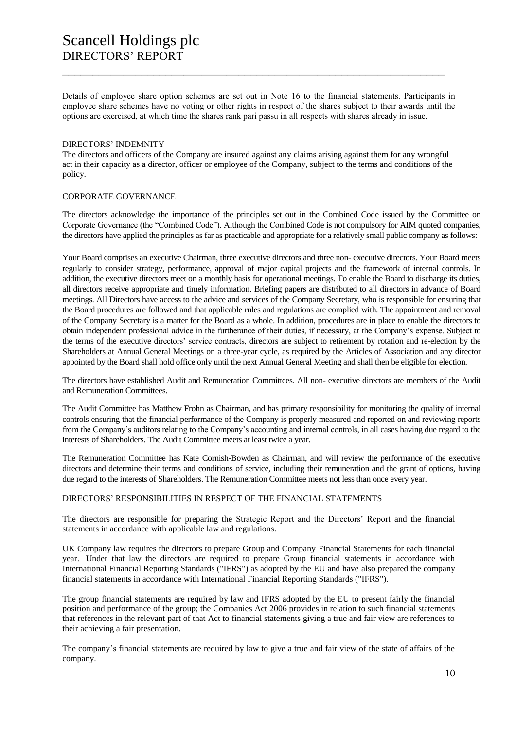Details of employee share option schemes are set out in Note 16 to the financial statements. Participants in employee share schemes have no voting or other rights in respect of the shares subject to their awards until the options are exercised, at which time the shares rank pari passu in all respects with shares already in issue.

\_\_\_\_\_\_\_\_\_\_\_\_\_\_\_\_\_\_\_\_\_\_\_\_\_\_\_\_\_\_\_\_\_\_\_\_\_\_\_\_\_\_\_\_\_\_\_\_\_\_\_\_\_\_\_\_\_\_\_\_\_\_\_

#### DIRECTORS' INDEMNITY

The directors and officers of the Company are insured against any claims arising against them for any wrongful act in their capacity as a director, officer or employee of the Company, subject to the terms and conditions of the policy.

# CORPORATE GOVERNANCE

The directors acknowledge the importance of the principles set out in the Combined Code issued by the Committee on Corporate Governance (the "Combined Code"). Although the Combined Code is not compulsory for AIM quoted companies, the directors have applied the principles as far as practicable and appropriate for a relatively small public company as follows:

Your Board comprises an executive Chairman, three executive directors and three non- executive directors. Your Board meets regularly to consider strategy, performance, approval of major capital projects and the framework of internal controls. In addition, the executive directors meet on a monthly basis for operational meetings. To enable the Board to discharge its duties, all directors receive appropriate and timely information. Briefing papers are distributed to all directors in advance of Board meetings. All Directors have access to the advice and services of the Company Secretary, who is responsible for ensuring that the Board procedures are followed and that applicable rules and regulations are complied with. The appointment and removal of the Company Secretary is a matter for the Board as a whole. In addition, procedures are in place to enable the directors to obtain independent professional advice in the furtherance of their duties, if necessary, at the Company's expense. Subject to the terms of the executive directors' service contracts, directors are subject to retirement by rotation and re-election by the Shareholders at Annual General Meetings on a three-year cycle, as required by the Articles of Association and any director appointed by the Board shall hold office only until the next Annual General Meeting and shall then be eligible for election.

The directors have established Audit and Remuneration Committees. All non- executive directors are members of the Audit and Remuneration Committees.

The Audit Committee has Matthew Frohn as Chairman, and has primary responsibility for monitoring the quality of internal controls ensuring that the financial performance of the Company is properly measured and reported on and reviewing reports from the Company's auditors relating to the Company's accounting and internal controls, in all cases having due regard to the interests of Shareholders. The Audit Committee meets at least twice a year.

The Remuneration Committee has Kate Cornish-Bowden as Chairman, and will review the performance of the executive directors and determine their terms and conditions of service, including their remuneration and the grant of options, having due regard to the interests of Shareholders. The Remuneration Committee meets not less than once every year.

#### DIRECTORS' RESPONSIBILITIES IN RESPECT OF THE FINANCIAL STATEMENTS

The directors are responsible for preparing the Strategic Report and the Directors' Report and the financial statements in accordance with applicable law and regulations.

UK Company law requires the directors to prepare Group and Company Financial Statements for each financial year. Under that law the directors are required to prepare Group financial statements in accordance with International Financial Reporting Standards ("IFRS") as adopted by the EU and have also prepared the company financial statements in accordance with International Financial Reporting Standards ("IFRS").

The group financial statements are required by law and IFRS adopted by the EU to present fairly the financial position and performance of the group; the Companies Act 2006 provides in relation to such financial statements that references in the relevant part of that Act to financial statements giving a true and fair view are references to their achieving a fair presentation.

The company's financial statements are required by law to give a true and fair view of the state of affairs of the company.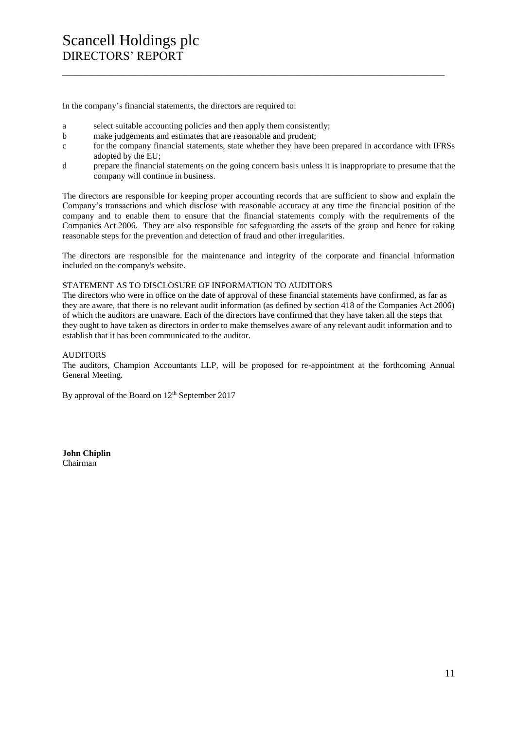In the company's financial statements, the directors are required to:

- a select suitable accounting policies and then apply them consistently;
- b make judgements and estimates that are reasonable and prudent;
- c for the company financial statements, state whether they have been prepared in accordance with IFRSs adopted by the EU;

\_\_\_\_\_\_\_\_\_\_\_\_\_\_\_\_\_\_\_\_\_\_\_\_\_\_\_\_\_\_\_\_\_\_\_\_\_\_\_\_\_\_\_\_\_\_\_\_\_\_\_\_\_\_\_\_\_\_\_\_\_\_\_

d prepare the financial statements on the going concern basis unless it is inappropriate to presume that the company will continue in business.

The directors are responsible for keeping proper accounting records that are sufficient to show and explain the Company's transactions and which disclose with reasonable accuracy at any time the financial position of the company and to enable them to ensure that the financial statements comply with the requirements of the Companies Act 2006. They are also responsible for safeguarding the assets of the group and hence for taking reasonable steps for the prevention and detection of fraud and other irregularities.

The directors are responsible for the maintenance and integrity of the corporate and financial information included on the company's website.

# STATEMENT AS TO DISCLOSURE OF INFORMATION TO AUDITORS

The directors who were in office on the date of approval of these financial statements have confirmed, as far as they are aware, that there is no relevant audit information (as defined by section 418 of the Companies Act 2006) of which the auditors are unaware. Each of the directors have confirmed that they have taken all the steps that they ought to have taken as directors in order to make themselves aware of any relevant audit information and to establish that it has been communicated to the auditor.

# AUDITORS

The auditors, Champion Accountants LLP, will be proposed for re-appointment at the forthcoming Annual General Meeting.

By approval of the Board on 12<sup>th</sup> September 2017

**John Chiplin** Chairman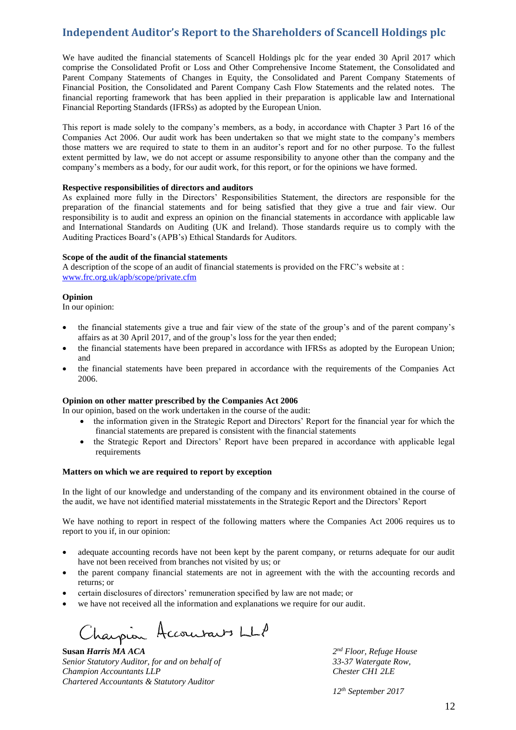# **Independent Auditor's Report to the Shareholders of Scancell Holdings plc**

We have audited the financial statements of Scancell Holdings plc for the year ended 30 April 2017 which comprise the Consolidated Profit or Loss and Other Comprehensive Income Statement, the Consolidated and Parent Company Statements of Changes in Equity, the Consolidated and Parent Company Statements of Financial Position, the Consolidated and Parent Company Cash Flow Statements and the related notes. The financial reporting framework that has been applied in their preparation is applicable law and International Financial Reporting Standards (IFRSs) as adopted by the European Union.

This report is made solely to the company's members, as a body, in accordance with Chapter 3 Part 16 of the Companies Act 2006. Our audit work has been undertaken so that we might state to the company's members those matters we are required to state to them in an auditor's report and for no other purpose. To the fullest extent permitted by law, we do not accept or assume responsibility to anyone other than the company and the company's members as a body, for our audit work, for this report, or for the opinions we have formed.

#### **Respective responsibilities of directors and auditors**

As explained more fully in the Directors' Responsibilities Statement, the directors are responsible for the preparation of the financial statements and for being satisfied that they give a true and fair view. Our responsibility is to audit and express an opinion on the financial statements in accordance with applicable law and International Standards on Auditing (UK and Ireland). Those standards require us to comply with the Auditing Practices Board's (APB's) Ethical Standards for Auditors.

#### **Scope of the audit of the financial statements**

A description of the scope of an audit of financial statements is provided on the FRC's website at : [www.frc.org.uk/apb/scope/private.cfm](http://www.frc.org.uk/apb/scope/private.cfm)

# **Opinion**

In our opinion:

- the financial statements give a true and fair view of the state of the group's and of the parent company's affairs as at 30 April 2017, and of the group's loss for the year then ended;
- the financial statements have been prepared in accordance with IFRSs as adopted by the European Union; and
- the financial statements have been prepared in accordance with the requirements of the Companies Act 2006.

# **Opinion on other matter prescribed by the Companies Act 2006**

In our opinion, based on the work undertaken in the course of the audit:

- the information given in the Strategic Report and Directors' Report for the financial year for which the financial statements are prepared is consistent with the financial statements
- the Strategic Report and Directors' Report have been prepared in accordance with applicable legal requirements

# **Matters on which we are required to report by exception**

In the light of our knowledge and understanding of the company and its environment obtained in the course of the audit, we have not identified material misstatements in the Strategic Report and the Directors' Report

We have nothing to report in respect of the following matters where the Companies Act 2006 requires us to report to you if, in our opinion:

- adequate accounting records have not been kept by the parent company, or returns adequate for our audit have not been received from branches not visited by us; or
- the parent company financial statements are not in agreement with the with the accounting records and returns; or
- certain disclosures of directors' remuneration specified by law are not made; or
- we have not received all the information and explanations we require for our audit.

Charpion Accourants LLP

**Susan** *Harris MA ACA Senior Statutory Auditor, for and on behalf of 33-37 Watergate Row, Champion Accountants LLP Chester CH1 2LE Chartered Accountants & Statutory Auditor*

*nd Floor, Refuge House*

*12th September 2017*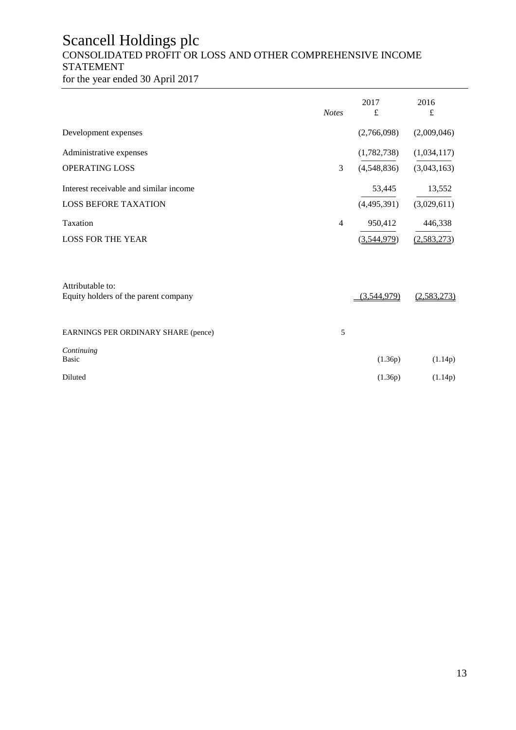# Scancell Holdings plc CONSOLIDATED PROFIT OR LOSS AND OTHER COMPREHENSIVE INCOME STATEMENT

for the year ended 30 April 2017

|                                                          | <b>Notes</b>   | 2017<br>£   | 2016<br>£   |
|----------------------------------------------------------|----------------|-------------|-------------|
| Development expenses                                     |                | (2,766,098) | (2,009,046) |
| Administrative expenses                                  |                | (1,782,738) | (1,034,117) |
| <b>OPERATING LOSS</b>                                    | 3              | (4,548,836) | (3,043,163) |
| Interest receivable and similar income                   |                | 53,445      | 13,552      |
| <b>LOSS BEFORE TAXATION</b>                              |                | (4,495,391) | (3,029,611) |
| Taxation                                                 | $\overline{4}$ | 950,412     | 446,338     |
| <b>LOSS FOR THE YEAR</b>                                 |                | (3,544,979) | (2,583,273) |
| Attributable to:<br>Equity holders of the parent company |                | (3,544,979) | (2,583,273) |
|                                                          |                |             |             |
| EARNINGS PER ORDINARY SHARE (pence)                      | 5              |             |             |
| Continuing<br>Basic                                      |                | (1.36p)     | (1.14p)     |
| Diluted                                                  |                | (1.36p)     | (1.14p)     |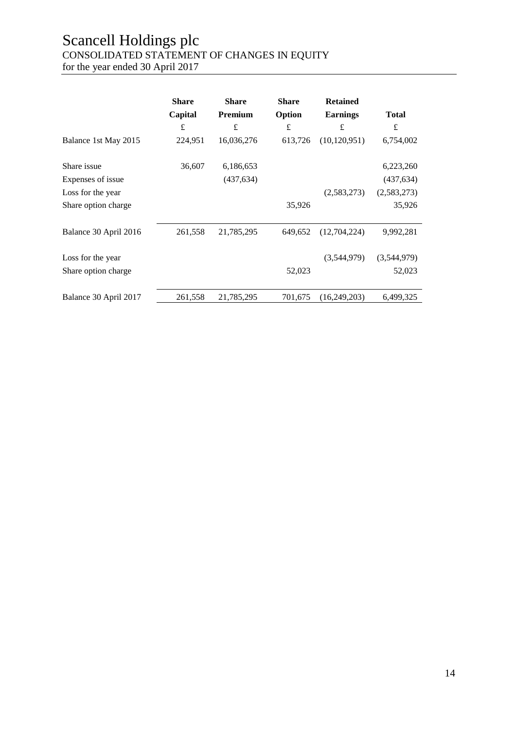# Scancell Holdings plc CONSOLIDATED STATEMENT OF CHANGES IN EQUITY

for the year ended 30 April 2017

|                       | <b>Share</b> | <b>Share</b> | <b>Share</b> | <b>Retained</b> |              |
|-----------------------|--------------|--------------|--------------|-----------------|--------------|
|                       | Capital      | Premium      | Option       | <b>Earnings</b> | <b>Total</b> |
|                       | £            | £            | $\pounds$    | £               | £            |
| Balance 1st May 2015  | 224,951      | 16,036,276   | 613,726      | (10, 120, 951)  | 6,754,002    |
| Share issue           | 36,607       | 6,186,653    |              |                 | 6,223,260    |
| Expenses of issue     |              | (437, 634)   |              |                 | (437, 634)   |
| Loss for the year     |              |              |              | (2,583,273)     | (2,583,273)  |
| Share option charge   |              |              | 35,926       |                 | 35,926       |
| Balance 30 April 2016 | 261,558      | 21,785,295   | 649,652      | (12,704,224)    | 9,992,281    |
| Loss for the year     |              |              |              | (3,544,979)     | (3,544,979)  |
| Share option charge   |              |              | 52,023       |                 | 52,023       |
| Balance 30 April 2017 | 261,558      | 21,785,295   | 701,675      | (16,249,203)    | 6,499,325    |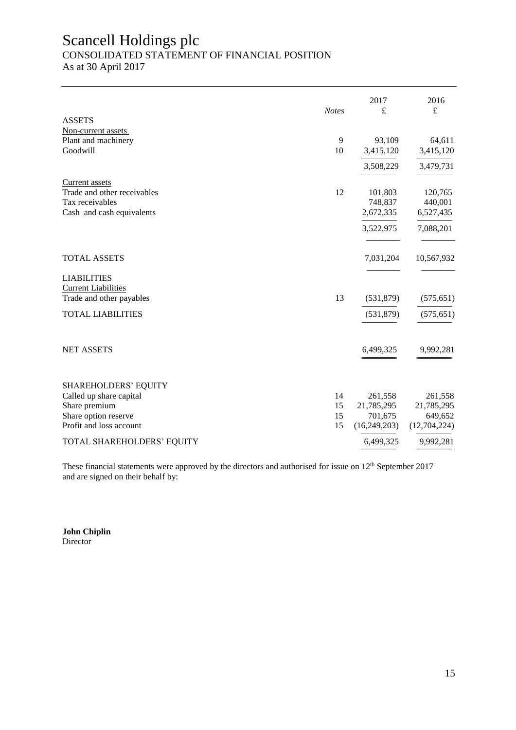# Scancell Holdings plc

# CONSOLIDATED STATEMENT OF FINANCIAL POSITION

As at 30 April 2017

|                                                  | <b>Notes</b> | 2017<br>£      | 2016<br>£      |
|--------------------------------------------------|--------------|----------------|----------------|
| <b>ASSETS</b>                                    |              |                |                |
| Non-current assets<br>Plant and machinery        | 9            | 93,109         | 64,611         |
| Goodwill                                         | 10           | 3,415,120      | 3,415,120      |
|                                                  |              | 3,508,229      | 3,479,731      |
| <b>Current</b> assets                            |              |                |                |
| Trade and other receivables                      | 12           | 101,803        | 120,765        |
| Tax receivables                                  |              | 748,837        | 440,001        |
| Cash and cash equivalents                        |              | 2,672,335      | 6,527,435      |
|                                                  |              | 3,522,975      | 7,088,201      |
| <b>TOTAL ASSETS</b>                              |              | 7,031,204      | 10,567,932     |
|                                                  |              |                |                |
| <b>LIABILITIES</b><br><b>Current Liabilities</b> |              |                |                |
| Trade and other payables                         | 13           | (531,879)      | (575, 651)     |
|                                                  |              |                |                |
| <b>TOTAL LIABILITIES</b>                         |              | (531, 879)     | (575, 651)     |
|                                                  |              |                |                |
| <b>NET ASSETS</b>                                |              | 6,499,325      | 9,992,281      |
| <b>SHAREHOLDERS' EQUITY</b>                      |              |                |                |
| Called up share capital                          | 14           | 261,558        | 261,558        |
| Share premium                                    | 15           | 21,785,295     | 21,785,295     |
| Share option reserve                             | 15           | 701,675        | 649,652        |
| Profit and loss account                          | 15           | (16, 249, 203) | (12, 704, 224) |
| TOTAL SHAREHOLDERS' EQUITY                       |              | 6,499,325      | 9,992,281      |
|                                                  |              |                |                |

These financial statements were approved by the directors and authorised for issue on 12<sup>th</sup> September 2017 and are signed on their behalf by:

**John Chiplin** Director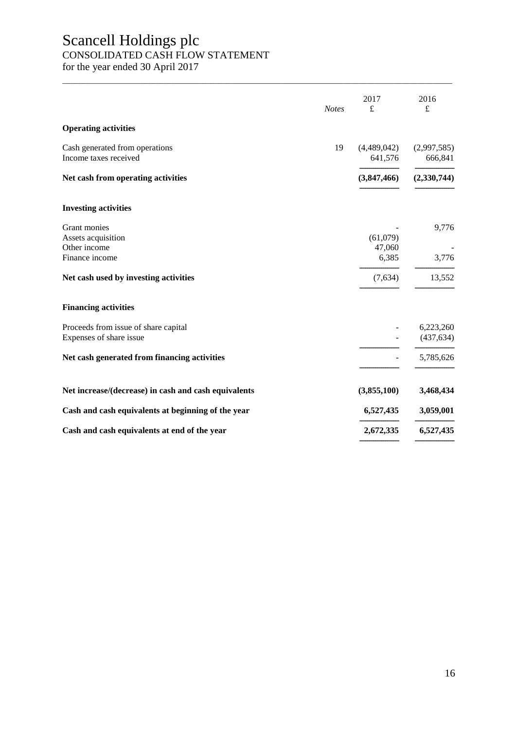# Scancell Holdings plc

# CONSOLIDATED CASH FLOW STATEMENT

for the year ended 30 April 2017

| <b>Notes</b>                                                    | 2017<br>£              | 2016<br>£               |
|-----------------------------------------------------------------|------------------------|-------------------------|
| <b>Operating activities</b>                                     |                        |                         |
| 19<br>Cash generated from operations<br>Income taxes received   | (4,489,042)<br>641,576 | (2,997,585)<br>666,841  |
| Net cash from operating activities                              | (3,847,466)            | (2,330,744)             |
| <b>Investing activities</b>                                     |                        |                         |
| Grant monies<br>Assets acquisition<br>Other income              | (61,079)<br>47,060     | 9,776                   |
| Finance income                                                  | 6,385                  | 3,776                   |
| Net cash used by investing activities                           | (7,634)                | 13,552                  |
| <b>Financing activities</b>                                     |                        |                         |
| Proceeds from issue of share capital<br>Expenses of share issue |                        | 6,223,260<br>(437, 634) |
| Net cash generated from financing activities                    |                        | 5,785,626               |
| Net increase/(decrease) in cash and cash equivalents            | (3,855,100)            | 3,468,434               |
| Cash and cash equivalents at beginning of the year              | 6,527,435              | 3,059,001               |
| Cash and cash equivalents at end of the year                    | 2,672,335              | 6,527,435               |

\_\_\_\_\_\_\_\_\_\_\_\_\_\_\_\_\_\_\_\_\_\_\_\_\_\_\_\_\_\_\_\_\_\_\_\_\_\_\_\_\_\_\_\_\_\_\_\_\_\_\_\_\_\_\_\_\_\_\_\_\_\_\_\_\_\_\_\_\_\_\_\_\_\_\_\_\_\_\_\_\_\_\_\_\_\_\_\_\_\_\_\_\_\_\_\_\_\_\_\_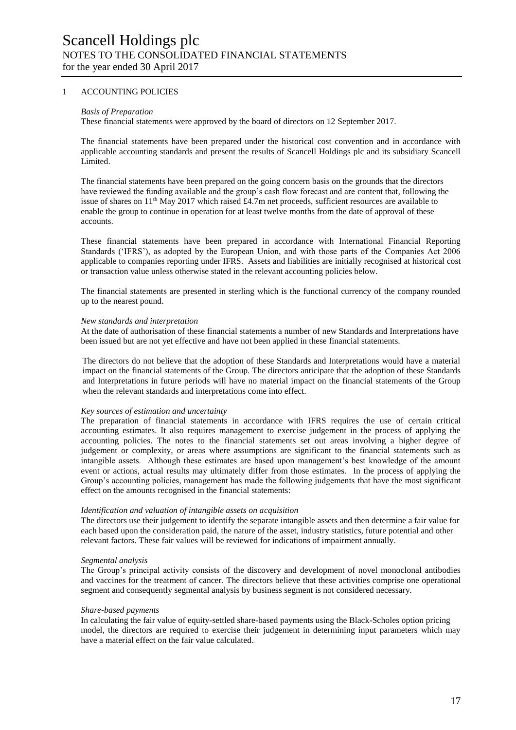# 1 ACCOUNTING POLICIES

#### *Basis of Preparation*

These financial statements were approved by the board of directors on 12 September 2017.

The financial statements have been prepared under the historical cost convention and in accordance with applicable accounting standards and present the results of Scancell Holdings plc and its subsidiary Scancell Limited.

The financial statements have been prepared on the going concern basis on the grounds that the directors have reviewed the funding available and the group's cash flow forecast and are content that, following the issue of shares on 11th May 2017 which raised £4.7m net proceeds, sufficient resources are available to enable the group to continue in operation for at least twelve months from the date of approval of these accounts.

These financial statements have been prepared in accordance with International Financial Reporting Standards ('IFRS'), as adopted by the European Union, and with those parts of the Companies Act 2006 applicable to companies reporting under IFRS. Assets and liabilities are initially recognised at historical cost or transaction value unless otherwise stated in the relevant accounting policies below.

The financial statements are presented in sterling which is the functional currency of the company rounded up to the nearest pound.

#### *New standards and interpretation*

At the date of authorisation of these financial statements a number of new Standards and Interpretations have been issued but are not yet effective and have not been applied in these financial statements.

The directors do not believe that the adoption of these Standards and Interpretations would have a material impact on the financial statements of the Group. The directors anticipate that the adoption of these Standards and Interpretations in future periods will have no material impact on the financial statements of the Group when the relevant standards and interpretations come into effect.

# *Key sources of estimation and uncertainty*

The preparation of financial statements in accordance with IFRS requires the use of certain critical accounting estimates. It also requires management to exercise judgement in the process of applying the accounting policies. The notes to the financial statements set out areas involving a higher degree of judgement or complexity, or areas where assumptions are significant to the financial statements such as intangible assets. Although these estimates are based upon management's best knowledge of the amount event or actions, actual results may ultimately differ from those estimates. In the process of applying the Group's accounting policies, management has made the following judgements that have the most significant effect on the amounts recognised in the financial statements:

# *Identification and valuation of intangible assets on acquisition*

The directors use their judgement to identify the separate intangible assets and then determine a fair value for each based upon the consideration paid, the nature of the asset, industry statistics, future potential and other relevant factors. These fair values will be reviewed for indications of impairment annually.

#### *Segmental analysis*

The Group's principal activity consists of the discovery and development of novel monoclonal antibodies and vaccines for the treatment of cancer. The directors believe that these activities comprise one operational segment and consequently segmental analysis by business segment is not considered necessary.

#### *Share-based payments*

In calculating the fair value of equity-settled share-based payments using the Black-Scholes option pricing model, the directors are required to exercise their judgement in determining input parameters which may have a material effect on the fair value calculated..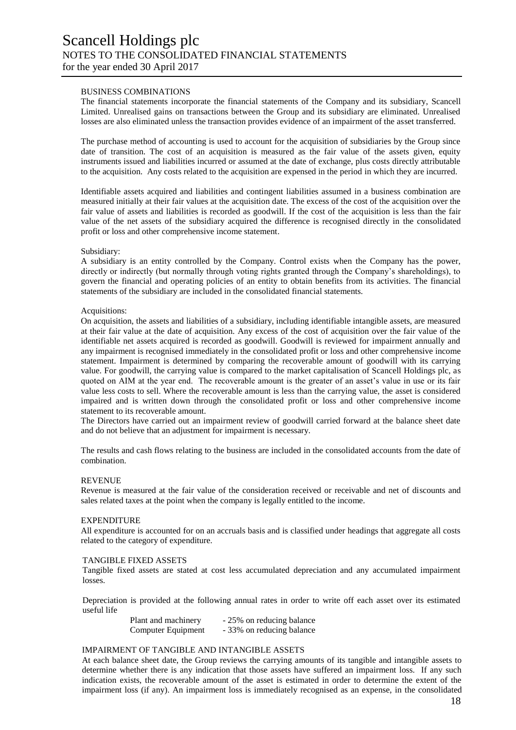#### BUSINESS COMBINATIONS

The financial statements incorporate the financial statements of the Company and its subsidiary, Scancell Limited. Unrealised gains on transactions between the Group and its subsidiary are eliminated. Unrealised losses are also eliminated unless the transaction provides evidence of an impairment of the asset transferred.

The purchase method of accounting is used to account for the acquisition of subsidiaries by the Group since date of transition. The cost of an acquisition is measured as the fair value of the assets given, equity instruments issued and liabilities incurred or assumed at the date of exchange, plus costs directly attributable to the acquisition. Any costs related to the acquisition are expensed in the period in which they are incurred.

Identifiable assets acquired and liabilities and contingent liabilities assumed in a business combination are measured initially at their fair values at the acquisition date. The excess of the cost of the acquisition over the fair value of assets and liabilities is recorded as goodwill. If the cost of the acquisition is less than the fair value of the net assets of the subsidiary acquired the difference is recognised directly in the consolidated profit or loss and other comprehensive income statement.

#### Subsidiary:

A subsidiary is an entity controlled by the Company. Control exists when the Company has the power, directly or indirectly (but normally through voting rights granted through the Company's shareholdings), to govern the financial and operating policies of an entity to obtain benefits from its activities. The financial statements of the subsidiary are included in the consolidated financial statements.

#### Acquisitions:

On acquisition, the assets and liabilities of a subsidiary, including identifiable intangible assets, are measured at their fair value at the date of acquisition. Any excess of the cost of acquisition over the fair value of the identifiable net assets acquired is recorded as goodwill. Goodwill is reviewed for impairment annually and any impairment is recognised immediately in the consolidated profit or loss and other comprehensive income statement. Impairment is determined by comparing the recoverable amount of goodwill with its carrying value. For goodwill, the carrying value is compared to the market capitalisation of Scancell Holdings plc, as quoted on AIM at the year end. The recoverable amount is the greater of an asset's value in use or its fair value less costs to sell. Where the recoverable amount is less than the carrying value, the asset is considered impaired and is written down through the consolidated profit or loss and other comprehensive income statement to its recoverable amount.

The Directors have carried out an impairment review of goodwill carried forward at the balance sheet date and do not believe that an adjustment for impairment is necessary.

The results and cash flows relating to the business are included in the consolidated accounts from the date of combination.

# **REVENUE**

Revenue is measured at the fair value of the consideration received or receivable and net of discounts and sales related taxes at the point when the company is legally entitled to the income.

#### **EXPENDITURE**

All expenditure is accounted for on an accruals basis and is classified under headings that aggregate all costs related to the category of expenditure.

#### TANGIBLE FIXED ASSETS

Tangible fixed assets are stated at cost less accumulated depreciation and any accumulated impairment losses.

Depreciation is provided at the following annual rates in order to write off each asset over its estimated useful life

| Plant and machinery | - 25% on reducing balance |
|---------------------|---------------------------|
| Computer Equipment  | - 33% on reducing balance |

#### IMPAIRMENT OF TANGIBLE AND INTANGIBLE ASSETS

At each balance sheet date, the Group reviews the carrying amounts of its tangible and intangible assets to determine whether there is any indication that those assets have suffered an impairment loss. If any such indication exists, the recoverable amount of the asset is estimated in order to determine the extent of the impairment loss (if any). An impairment loss is immediately recognised as an expense, in the consolidated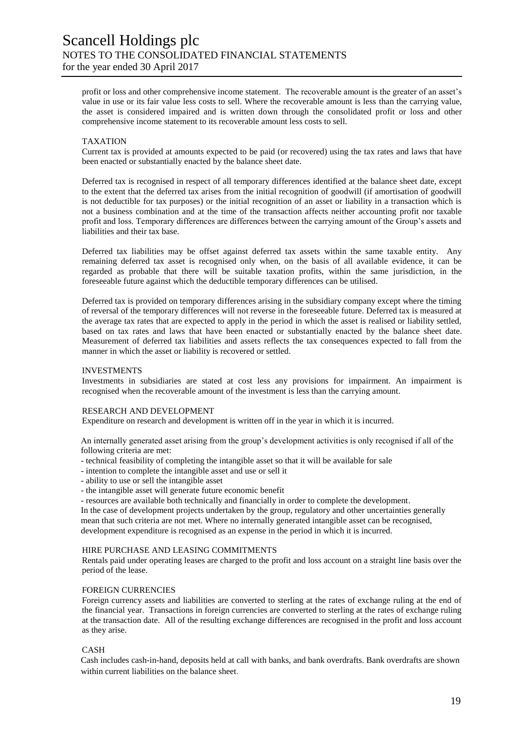profit or loss and other comprehensive income statement. The recoverable amount is the greater of an asset's value in use or its fair value less costs to sell. Where the recoverable amount is less than the carrying value, the asset is considered impaired and is written down through the consolidated profit or loss and other comprehensive income statement to its recoverable amount less costs to sell.

# TAXATION

Current tax is provided at amounts expected to be paid (or recovered) using the tax rates and laws that have been enacted or substantially enacted by the balance sheet date.

Deferred tax is recognised in respect of all temporary differences identified at the balance sheet date, except to the extent that the deferred tax arises from the initial recognition of goodwill (if amortisation of goodwill is not deductible for tax purposes) or the initial recognition of an asset or liability in a transaction which is not a business combination and at the time of the transaction affects neither accounting profit nor taxable profit and loss. Temporary differences are differences between the carrying amount of the Group's assets and liabilities and their tax base.

Deferred tax liabilities may be offset against deferred tax assets within the same taxable entity. Any remaining deferred tax asset is recognised only when, on the basis of all available evidence, it can be regarded as probable that there will be suitable taxation profits, within the same jurisdiction, in the foreseeable future against which the deductible temporary differences can be utilised.

Deferred tax is provided on temporary differences arising in the subsidiary company except where the timing of reversal of the temporary differences will not reverse in the foreseeable future. Deferred tax is measured at the average tax rates that are expected to apply in the period in which the asset is realised or liability settled, based on tax rates and laws that have been enacted or substantially enacted by the balance sheet date. Measurement of deferred tax liabilities and assets reflects the tax consequences expected to fall from the manner in which the asset or liability is recovered or settled.

# INVESTMENTS

Investments in subsidiaries are stated at cost less any provisions for impairment. An impairment is recognised when the recoverable amount of the investment is less than the carrying amount.

# RESEARCH AND DEVELOPMENT

Expenditure on research and development is written off in the year in which it is incurred.

An internally generated asset arising from the group's development activities is only recognised if all of the following criteria are met:

- technical feasibility of completing the intangible asset so that it will be available for sale

- intention to complete the intangible asset and use or sell it

- ability to use or sell the intangible asset
- the intangible asset will generate future economic benefit
- resources are available both technically and financially in order to complete the development.

In the case of development projects undertaken by the group, regulatory and other uncertainties generally mean that such criteria are not met. Where no internally generated intangible asset can be recognised, development expenditure is recognised as an expense in the period in which it is incurred.

# HIRE PURCHASE AND LEASING COMMITMENTS

Rentals paid under operating leases are charged to the profit and loss account on a straight line basis over the period of the lease.

# FOREIGN CURRENCIES

Foreign currency assets and liabilities are converted to sterling at the rates of exchange ruling at the end of the financial year. Transactions in foreign currencies are converted to sterling at the rates of exchange ruling at the transaction date. All of the resulting exchange differences are recognised in the profit and loss account as they arise.

# CASH

Cash includes cash-in-hand, deposits held at call with banks, and bank overdrafts. Bank overdrafts are shown within current liabilities on the balance sheet.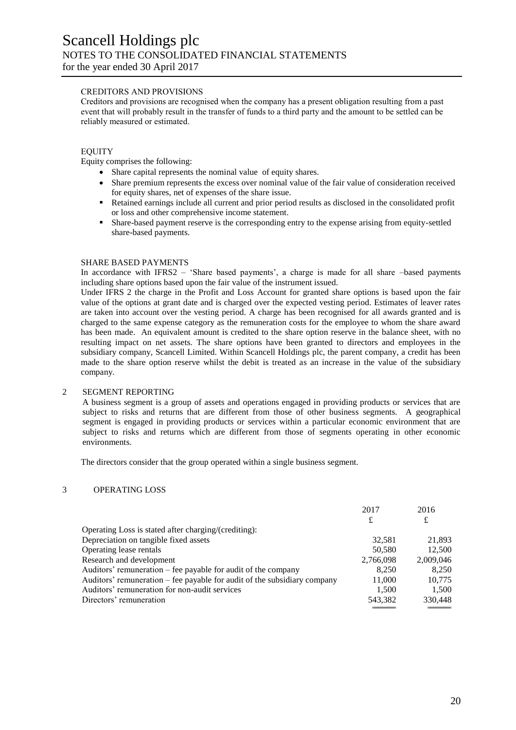# CREDITORS AND PROVISIONS

Creditors and provisions are recognised when the company has a present obligation resulting from a past event that will probably result in the transfer of funds to a third party and the amount to be settled can be reliably measured or estimated.

#### **EQUITY**

Equity comprises the following:

- Share capital represents the nominal value of equity shares.
- Share premium represents the excess over nominal value of the fair value of consideration received for equity shares, net of expenses of the share issue.
- Retained earnings include all current and prior period results as disclosed in the consolidated profit or loss and other comprehensive income statement.
- Share-based payment reserve is the corresponding entry to the expense arising from equity-settled share-based payments.

#### SHARE BASED PAYMENTS

In accordance with IFRS2 – 'Share based payments', a charge is made for all share –based payments including share options based upon the fair value of the instrument issued.

Under IFRS 2 the charge in the Profit and Loss Account for granted share options is based upon the fair value of the options at grant date and is charged over the expected vesting period. Estimates of leaver rates are taken into account over the vesting period. A charge has been recognised for all awards granted and is charged to the same expense category as the remuneration costs for the employee to whom the share award has been made. An equivalent amount is credited to the share option reserve in the balance sheet, with no resulting impact on net assets. The share options have been granted to directors and employees in the subsidiary company, Scancell Limited. Within Scancell Holdings plc, the parent company, a credit has been made to the share option reserve whilst the debit is treated as an increase in the value of the subsidiary company.

#### 2 SEGMENT REPORTING

A business segment is a group of assets and operations engaged in providing products or services that are subject to risks and returns that are different from those of other business segments. A geographical segment is engaged in providing products or services within a particular economic environment that are subject to risks and returns which are different from those of segments operating in other economic environments.

The directors consider that the group operated within a single business segment.

### 3 OPERATING LOSS

|                                                                          | 2017      | 2016      |
|--------------------------------------------------------------------------|-----------|-----------|
|                                                                          | £         | £         |
| Operating Loss is stated after charging/(crediting):                     |           |           |
| Depreciation on tangible fixed assets                                    | 32,581    | 21,893    |
| Operating lease rentals                                                  | 50,580    | 12,500    |
| Research and development                                                 | 2,766,098 | 2,009,046 |
| Auditors' remuneration – fee payable for audit of the company            | 8,250     | 8.250     |
| Auditors' remuneration – fee payable for audit of the subsidiary company | 11,000    | 10,775    |
| Auditors' remuneration for non-audit services                            | 1.500     | 1,500     |
| Directors' remuneration                                                  | 543,382   | 330,448   |
|                                                                          |           |           |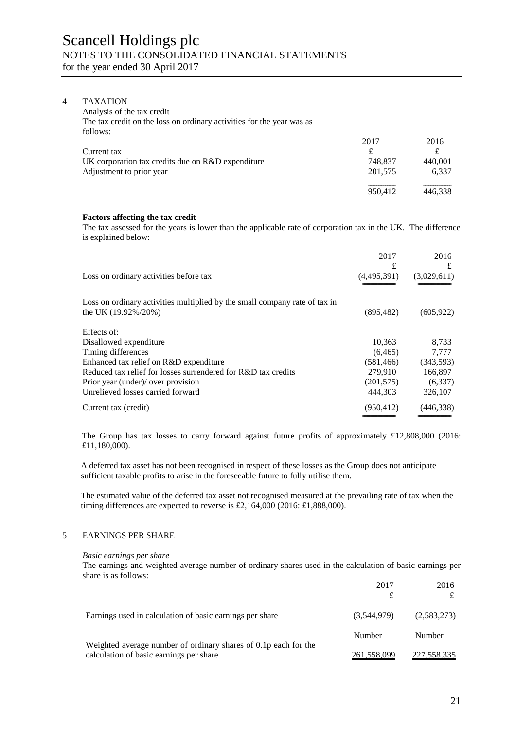#### 4 TAXATION

| 2017    | 2016    |
|---------|---------|
| £       | £       |
| 748.837 | 440.001 |
| 201,575 | 6.337   |
|         | 446.338 |
|         | 950,412 |

#### **Factors affecting the tax credit**

The tax assessed for the years is lower than the applicable rate of corporation tax in the UK. The difference is explained below:

================================= =================================

|                                                                            | 2017<br>£   | 2016<br>£   |
|----------------------------------------------------------------------------|-------------|-------------|
| Loss on ordinary activities before tax                                     | (4,495,391) | (3,029,611) |
| Loss on ordinary activities multiplied by the small company rate of tax in |             |             |
| the UK (19.92%/20%)                                                        | (895, 482)  | (605, 922)  |
| Effects of:                                                                |             |             |
| Disallowed expenditure                                                     | 10,363      | 8,733       |
| Timing differences                                                         | (6, 465)    | 7.777       |
| Enhanced tax relief on R&D expenditure                                     | (581, 466)  | (343,593)   |
| Reduced tax relief for losses surrendered for R&D tax credits              | 279,910     | 166,897     |
| Prior year (under)/ over provision                                         | (201, 575)  | (6,337)     |
| Unrelieved losses carried forward                                          | 444,303     | 326,107     |
| Current tax (credit)                                                       | (950, 412)  | (446,338)   |

The Group has tax losses to carry forward against future profits of approximately £12,808,000 (2016: £11,180,000).

A deferred tax asset has not been recognised in respect of these losses as the Group does not anticipate sufficient taxable profits to arise in the foreseeable future to fully utilise them.

The estimated value of the deferred tax asset not recognised measured at the prevailing rate of tax when the timing differences are expected to reverse is £2,164,000 (2016: £1,888,000).

# 5 EARNINGS PER SHARE

#### *Basic earnings per share*

The earnings and weighted average number of ordinary shares used in the calculation of basic earnings per share is as follows:

|                                                                                                            | 2017        | 2016               |
|------------------------------------------------------------------------------------------------------------|-------------|--------------------|
| Earnings used in calculation of basic earnings per share                                                   | (3.544.979) | <u>(2,583,273)</u> |
|                                                                                                            | Number      | <b>Number</b>      |
| Weighted average number of ordinary shares of 0.1p each for the<br>calculation of basic earnings per share | 261,558,099 | 227,558,335        |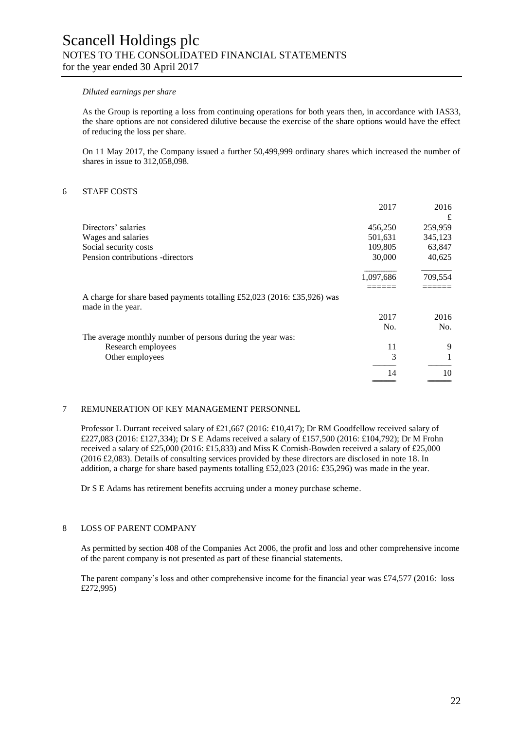#### *Diluted earnings per share*

As the Group is reporting a loss from continuing operations for both years then, in accordance with IAS33, the share options are not considered dilutive because the exercise of the share options would have the effect of reducing the loss per share.

On 11 May 2017, the Company issued a further 50,499,999 ordinary shares which increased the number of shares in issue to 312,058,098.

# 6 STAFF COSTS

|                                                                                              | 2017      | 2016    |
|----------------------------------------------------------------------------------------------|-----------|---------|
|                                                                                              |           | £       |
| Directors' salaries                                                                          | 456,250   | 259,959 |
| Wages and salaries                                                                           | 501,631   | 345,123 |
| Social security costs                                                                        | 109,805   | 63,847  |
| Pension contributions -directors                                                             | 30,000    | 40,625  |
|                                                                                              | 1,097,686 | 709,554 |
|                                                                                              |           |         |
| A charge for share based payments totalling £52,023 (2016: £35,926) was<br>made in the year. |           |         |
|                                                                                              | 2017      | 2016    |
|                                                                                              | No.       | No.     |
| The average monthly number of persons during the year was:                                   |           |         |
| Research employees                                                                           | 11        | 9       |
| Other employees                                                                              | 3         |         |
|                                                                                              | 14        | 10      |
|                                                                                              |           |         |

# 7 REMUNERATION OF KEY MANAGEMENT PERSONNEL

Professor L Durrant received salary of £21,667 (2016: £10,417); Dr RM Goodfellow received salary of £227,083 (2016: £127,334); Dr S E Adams received a salary of £157,500 (2016: £104,792); Dr M Frohn received a salary of £25,000 (2016: £15,833) and Miss K Cornish-Bowden received a salary of £25,000 (2016 £2,083). Details of consulting services provided by these directors are disclosed in note 18. In addition, a charge for share based payments totalling £52,023 (2016: £35,296) was made in the year.

Dr S E Adams has retirement benefits accruing under a money purchase scheme.

# 8 LOSS OF PARENT COMPANY

As permitted by section 408 of the Companies Act 2006, the profit and loss and other comprehensive income of the parent company is not presented as part of these financial statements.

The parent company's loss and other comprehensive income for the financial year was £74,577 (2016: loss £272,995)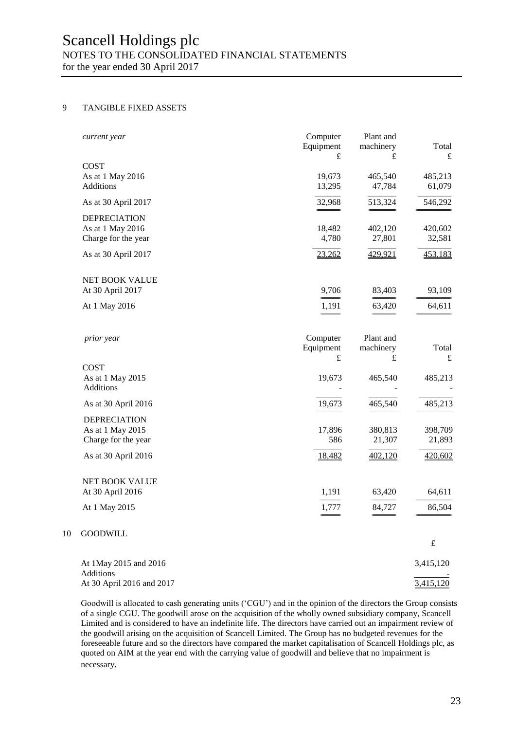# Scancell Holdings plc NOTES TO THE CONSOLIDATED FINANCIAL STATEMENTS

for the year ended 30 April 2017

# 9 TANGIBLE FIXED ASSETS

 $10\,$ 

| current year                                                   | Computer<br>Equipment<br>£ | Plant and<br>machinery<br>£ | Total<br>£         |
|----------------------------------------------------------------|----------------------------|-----------------------------|--------------------|
| <b>COST</b>                                                    |                            |                             |                    |
| As at 1 May 2016<br>Additions                                  | 19,673<br>13,295           | 465,540<br>47,784           | 485,213<br>61,079  |
| As at 30 April 2017                                            | 32,968                     | 513,324                     | 546,292            |
| <b>DEPRECIATION</b><br>As at 1 May 2016<br>Charge for the year | 18,482<br>4,780            | 402,120<br>27,801           | 420,602<br>32,581  |
| As at 30 April 2017                                            | 23,262                     | 429,921                     | 453,183            |
| NET BOOK VALUE                                                 |                            |                             |                    |
| At 30 April 2017                                               | 9,706                      | 83,403                      | 93,109             |
| At 1 May 2016                                                  | 1,191                      | 63,420                      | 64,611             |
| prior year                                                     | Computer<br>Equipment<br>£ | Plant and<br>machinery<br>£ | Total<br>$\pounds$ |
| <b>COST</b><br>As at 1 May 2015<br>Additions                   | 19,673                     | 465,540                     | 485,213            |
| As at 30 April 2016                                            | 19,673                     | 465,540                     | 485,213            |
| <b>DEPRECIATION</b><br>As at 1 May 2015<br>Charge for the year | 17,896<br>586              | 380,813<br>21,307           | 398,709<br>21,893  |
| As at 30 April 2016                                            | 18,482                     | 402,120                     | 420,602            |
| <b>NET BOOK VALUE</b><br>At 30 April 2016                      | 1,191                      | 63,420                      | 64,611             |
| At 1 May 2015                                                  | 1,777                      | 84,727                      | 86,504             |
| <b>GOODWILL</b>                                                |                            |                             |                    |
|                                                                |                            |                             | £                  |
| At 1May 2015 and 2016<br>Additions                             |                            |                             | 3,415,120          |
| At 30 April 2016 and 2017                                      |                            |                             | 3,415,120          |

Goodwill is allocated to cash generating units ('CGU') and in the opinion of the directors the Group consists of a single CGU. The goodwill arose on the acquisition of the wholly owned subsidiary company, Scancell Limited and is considered to have an indefinite life. The directors have carried out an impairment review of the goodwill arising on the acquisition of Scancell Limited. The Group has no budgeted revenues for the foreseeable future and so the directors have compared the market capitalisation of Scancell Holdings plc, as quoted on AIM at the year end with the carrying value of goodwill and believe that no impairment is necessary*.*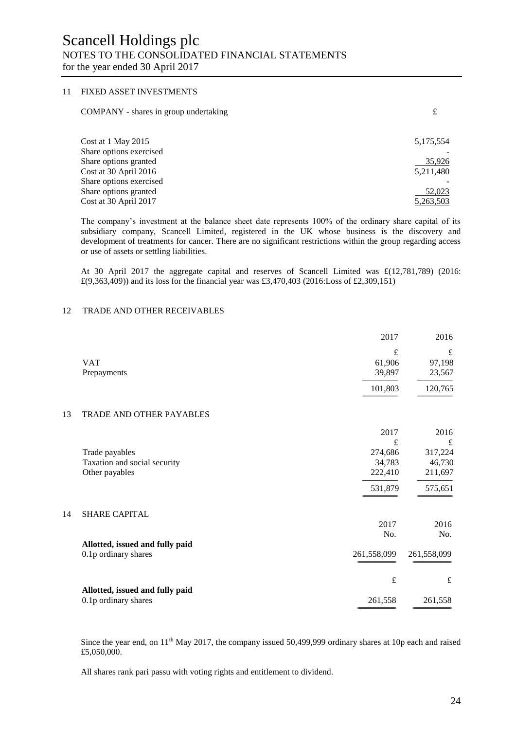# 11 FIXED ASSET INVESTMENTS

| COMPANY - shares in group undertaking | £         |
|---------------------------------------|-----------|
| Cost at 1 May 2015                    | 5,175,554 |
| Share options exercised               |           |
| Share options granted                 | 35,926    |
| Cost at 30 April 2016                 | 5,211,480 |
| Share options exercised               |           |
| Share options granted                 | 52,023    |
| Cost at 30 April 2017                 | 5,263,503 |

The company's investment at the balance sheet date represents 100% of the ordinary share capital of its subsidiary company, Scancell Limited, registered in the UK whose business is the discovery and development of treatments for cancer. There are no significant restrictions within the group regarding access or use of assets or settling liabilities.

At 30 April 2017 the aggregate capital and reserves of Scancell Limited was £(12,781,789) (2016: £(9,363,409)) and its loss for the financial year was £3,470,403 (2016:Loss of £2,309,151)

# 12 TRADE AND OTHER RECEIVABLES

 $14$ 

|    |                                 | 2017        | 2016        |
|----|---------------------------------|-------------|-------------|
|    |                                 | £           | $\mathbf f$ |
|    | <b>VAT</b>                      | 61,906      | 97,198      |
|    | Prepayments                     | 39,897      | 23,567      |
|    |                                 | 101,803     | 120,765     |
| 13 | TRADE AND OTHER PAYABLES        |             |             |
|    |                                 | 2017        | 2016        |
|    |                                 | £           | £           |
|    | Trade payables                  | 274,686     | 317,224     |
|    | Taxation and social security    | 34,783      | 46,730      |
|    | Other payables                  | 222,410     | 211,697     |
|    |                                 | 531,879     | 575,651     |
| 14 | <b>SHARE CAPITAL</b>            |             |             |
|    |                                 | 2017        | 2016        |
|    |                                 | No.         | No.         |
|    | Allotted, issued and fully paid |             |             |
|    | 0.1p ordinary shares            | 261,558,099 | 261,558,099 |
|    |                                 | $\pounds$   | $\pounds$   |
|    | Allotted, issued and fully paid |             |             |
|    | 0.1p ordinary shares            | 261,558     | 261,558     |
|    |                                 |             |             |

Since the year end, on 11<sup>th</sup> May 2017, the company issued 50,499,999 ordinary shares at 10p each and raised £5,050,000.

All shares rank pari passu with voting rights and entitlement to dividend.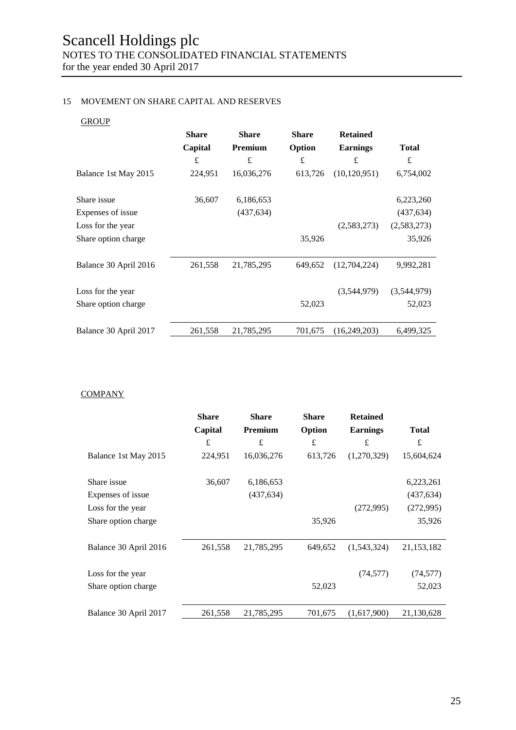# 15 MOVEMENT ON SHARE CAPITAL AND RESERVES

# **GROUP**

|                       | <b>Share</b> | <b>Share</b> | <b>Share</b> | <b>Retained</b> |              |
|-----------------------|--------------|--------------|--------------|-----------------|--------------|
|                       | Capital      | Premium      | Option       | <b>Earnings</b> | <b>Total</b> |
|                       | £            | £            | £            | $\pounds$       | £            |
| Balance 1st May 2015  | 224,951      | 16,036,276   | 613,726      | (10, 120, 951)  | 6,754,002    |
| Share issue           | 36,607       | 6,186,653    |              |                 | 6,223,260    |
| Expenses of issue     |              | (437, 634)   |              |                 | (437, 634)   |
| Loss for the year     |              |              |              | (2,583,273)     | (2,583,273)  |
| Share option charge   |              |              | 35,926       |                 | 35,926       |
| Balance 30 April 2016 | 261,558      | 21,785,295   | 649,652      | (12,704,224)    | 9,992,281    |
| Loss for the year     |              |              |              | (3,544,979)     | (3,544,979)  |
| Share option charge   |              |              | 52,023       |                 | 52,023       |
| Balance 30 April 2017 | 261,558      | 21,785,295   | 701,675      | (16,249,203)    | 6,499,325    |

**COMPANY** 

|                       | <b>Share</b> | <b>Share</b> | Share   | <b>Retained</b> |              |
|-----------------------|--------------|--------------|---------|-----------------|--------------|
|                       | Capital      | Premium      | Option  | <b>Earnings</b> | <b>Total</b> |
|                       | £            | £            | £       | $\pounds$       | £            |
| Balance 1st May 2015  | 224,951      | 16,036,276   | 613,726 | (1,270,329)     | 15,604,624   |
| Share issue           | 36,607       | 6,186,653    |         |                 | 6,223,261    |
| Expenses of issue     |              | (437, 634)   |         |                 | (437, 634)   |
| Loss for the year     |              |              |         | (272,995)       | (272,995)    |
| Share option charge   |              |              | 35,926  |                 | 35,926       |
| Balance 30 April 2016 | 261,558      | 21,785,295   | 649,652 | (1,543,324)     | 21, 153, 182 |
| Loss for the year     |              |              |         | (74, 577)       | (74, 577)    |
| Share option charge   |              |              | 52,023  |                 | 52,023       |
| Balance 30 April 2017 | 261,558      | 21,785,295   | 701,675 | (1,617,900)     | 21,130,628   |
|                       |              |              |         |                 |              |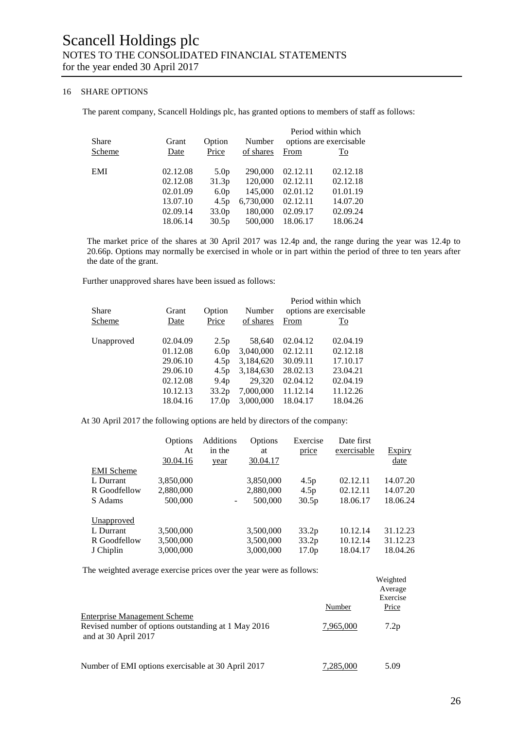# 16 SHARE OPTIONS

The parent company, Scancell Holdings plc, has granted options to members of staff as follows:

| Share      | Grant    | Option            | Number    |          | Period within which<br>options are exercisable |
|------------|----------|-------------------|-----------|----------|------------------------------------------------|
| Scheme     | Date     | Price             | of shares | From     | <u>To</u>                                      |
| <b>EMI</b> | 02.12.08 | 5.0 <sub>p</sub>  | 290,000   | 02.12.11 | 02.12.18                                       |
|            | 02.12.08 | 31.3p             | 120,000   | 02.12.11 | 02.12.18                                       |
|            | 02.01.09 | 6.0 <sub>p</sub>  | 145,000   | 02.01.12 | 01.01.19                                       |
|            | 13.07.10 | 4.5p              | 6,730,000 | 02.12.11 | 14.07.20                                       |
|            | 02.09.14 | 33.0 <sub>p</sub> | 180,000   | 02.09.17 | 02.09.24                                       |
|            | 18.06.14 | 30.5p             | 500,000   | 18.06.17 | 18.06.24                                       |

The market price of the shares at 30 April 2017 was 12.4p and, the range during the year was 12.4p to 20.66p. Options may normally be exercised in whole or in part within the period of three to ten years after the date of the grant.

Further unapproved shares have been issued as follows:

| Grant    | Option            | Number    |          | Period within which<br>options are exercisable. |
|----------|-------------------|-----------|----------|-------------------------------------------------|
| Date     | Price             | of shares | From     | $\underline{\operatorname{To}}$                 |
| 02.04.09 | 2.5p              | 58,640    | 02.04.12 | 02.04.19                                        |
| 01.12.08 | 6.0 <sub>p</sub>  | 3,040,000 | 02.12.11 | 02.12.18                                        |
| 29.06.10 | 4.5p              | 3,184,620 | 30.09.11 | 17.10.17                                        |
| 29.06.10 | 4.5p              | 3,184,630 | 28.02.13 | 23.04.21                                        |
| 02.12.08 | 9.4 <sub>p</sub>  | 29,320    | 02.04.12 | 02.04.19                                        |
| 10.12.13 | 33.2 <sub>p</sub> | 7,000,000 | 11.12.14 | 11.12.26                                        |
| 18.04.16 | 17.0 <sub>p</sub> | 3,000,000 | 18.04.17 | 18.04.26                                        |
|          |                   |           |          |                                                 |

At 30 April 2017 the following options are held by directors of the company:

|                   | Options<br>At<br>30.04.16 | <b>Additions</b><br>in the<br>year | Options<br>at<br>30.04.17 | Exercise<br>price | Date first<br>exercisable | <b>Expiry</b><br>date |
|-------------------|---------------------------|------------------------------------|---------------------------|-------------------|---------------------------|-----------------------|
| <b>EMI</b> Scheme |                           |                                    |                           |                   |                           |                       |
| L Durrant         | 3,850,000                 |                                    | 3,850,000                 | 4.5p              | 02.12.11                  | 14.07.20              |
| R Goodfellow      | 2,880,000                 |                                    | 2,880,000                 | 4.5 <sub>p</sub>  | 02.12.11                  | 14.07.20              |
| S Adams           | 500,000                   | $\overline{\phantom{a}}$           | 500,000                   | 30.5p             | 18.06.17                  | 18.06.24              |
| Unapproved        |                           |                                    |                           |                   |                           |                       |
| L Durrant         | 3,500,000                 |                                    | 3,500,000                 | 33.2p             | 10.12.14                  | 31.12.23              |
| R Goodfellow      | 3,500,000                 |                                    | 3,500,000                 | 33.2p             | 10.12.14                  | 31.12.23              |
| J Chiplin         | 3,000,000                 |                                    | 3,000,000                 | 17.0 <sub>p</sub> | 18.04.17                  | 18.04.26              |

The weighted average exercise prices over the year were as follows:

|                                                                                                                    |           | Weighted<br>Average<br>Exercise |
|--------------------------------------------------------------------------------------------------------------------|-----------|---------------------------------|
|                                                                                                                    | Number    | Price                           |
| <b>Enterprise Management Scheme</b><br>Revised number of options outstanding at 1 May 2016<br>and at 30 April 2017 | 7.965.000 | 7.2p                            |
| Number of EMI options exercisable at 30 April 2017                                                                 | 7,285,000 | 5.09                            |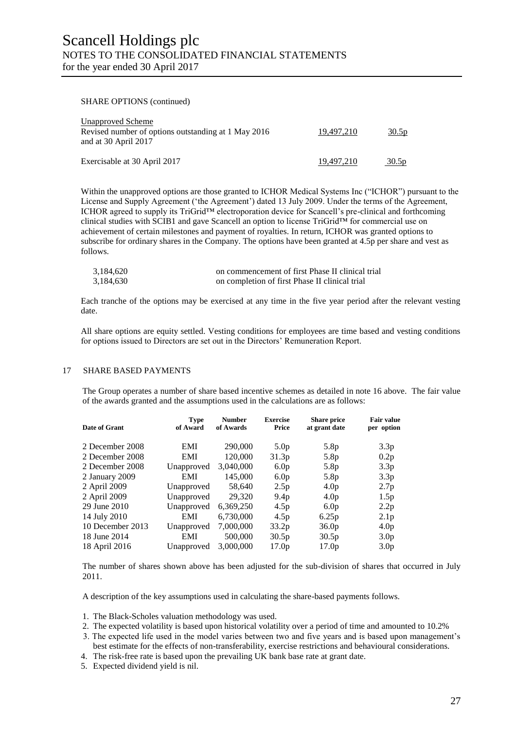#### SHARE OPTIONS (continued)

| <b>Unapproved Scheme</b><br>Revised number of options outstanding at 1 May 2016<br>and at 30 April 2017 | 19.497.210 | 30.5p |
|---------------------------------------------------------------------------------------------------------|------------|-------|
| Exercisable at 30 April 2017                                                                            | 19.497.210 | 30.5p |

Within the unapproved options are those granted to ICHOR Medical Systems Inc ("ICHOR") pursuant to the License and Supply Agreement ('the Agreement') dated 13 July 2009. Under the terms of the Agreement, ICHOR agreed to supply its TriGrid™ electroporation device for Scancell's pre-clinical and forthcoming clinical studies with SCIB1 and gave Scancell an option to license TriGrid™ for commercial use on achievement of certain milestones and payment of royalties. In return, ICHOR was granted options to subscribe for ordinary shares in the Company. The options have been granted at 4.5p per share and vest as follows.

| 3,184,620 | on commencement of first Phase II clinical trial |
|-----------|--------------------------------------------------|
| 3,184,630 | on completion of first Phase II clinical trial   |

Each tranche of the options may be exercised at any time in the five year period after the relevant vesting date.

All share options are equity settled. Vesting conditions for employees are time based and vesting conditions for options issued to Directors are set out in the Directors' Remuneration Report.

# 17 SHARE BASED PAYMENTS

The Group operates a number of share based incentive schemes as detailed in note 16 above. The fair value of the awards granted and the assumptions used in the calculations are as follows:

| <b>Date of Grant</b> | <b>Type</b><br>of Award | <b>Number</b><br>of Awards | <b>Exercise</b><br>Price | <b>Share price</b><br>at grant date | <b>Fair value</b><br>per option |
|----------------------|-------------------------|----------------------------|--------------------------|-------------------------------------|---------------------------------|
| 2 December 2008      | EMI                     | 290,000                    | 5.0 <sub>p</sub>         | 5.8p                                | 3.3p                            |
| 2 December 2008      | EMI                     | 120,000                    | 31.3p                    | 5.8p                                | 0.2p                            |
| 2 December 2008      | Unapproved              | 3,040,000                  | 6.0 <sub>p</sub>         | 5.8p                                | 3.3p                            |
| 2 January 2009       | EMI                     | 145,000                    | 6.0 <sub>p</sub>         | 5.8p                                | 3.3p                            |
| 2 April 2009         | Unapproved              | 58,640                     | 2.5p                     | 4.0 <sub>p</sub>                    | 2.7p                            |
| 2 April 2009         | Unapproved              | 29,320                     | 9.4 <sub>p</sub>         | 4.0 <sub>p</sub>                    | 1.5p                            |
| 29 June 2010         | Unapproved              | 6,369,250                  | 4.5p                     | 6.0 <sub>p</sub>                    | 2.2p                            |
| 14 July 2010         | EMI                     | 6,730,000                  | 4.5p                     | 6.25p                               | 2.1 <sub>p</sub>                |
| 10 December 2013     | Unapproved              | 7,000,000                  | 33.2 <sub>p</sub>        | 36.0 <sub>p</sub>                   | 4.0 <sub>p</sub>                |
| 18 June 2014         | EMI                     | 500,000                    | 30.5p                    | 30.5p                               | 3.0 <sub>p</sub>                |
| 18 April 2016        | Unapproved              | 3,000,000                  | 17.0 <sub>p</sub>        | 17.0 <sub>p</sub>                   | 3.0 <sub>p</sub>                |

The number of shares shown above has been adjusted for the sub-division of shares that occurred in July 2011.

A description of the key assumptions used in calculating the share-based payments follows.

- 1. The Black-Scholes valuation methodology was used.
- 2. The expected volatility is based upon historical volatility over a period of time and amounted to 10.2%
- 3. The expected life used in the model varies between two and five years and is based upon management's best estimate for the effects of non-transferability, exercise restrictions and behavioural considerations.
- 4. The risk-free rate is based upon the prevailing UK bank base rate at grant date.
- 5. Expected dividend yield is nil.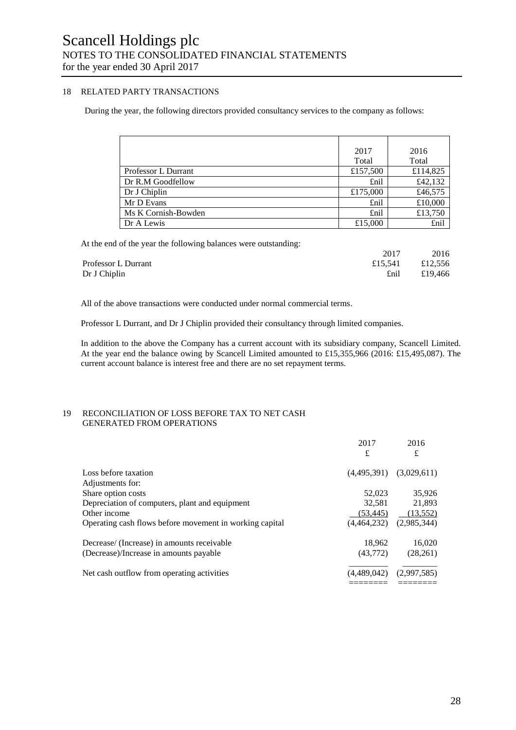# 18 RELATED PARTY TRANSACTIONS

During the year, the following directors provided consultancy services to the company as follows:

|                     | 2017     | 2016     |
|---------------------|----------|----------|
|                     | Total    | Total    |
| Professor L Durrant | £157,500 | £114,825 |
| Dr R.M Goodfellow   | £nil     | £42,132  |
| Dr J Chiplin        | £175,000 | £46,575  |
| Mr D Evans          | £nil     | £10,000  |
| Ms K Cornish-Bowden | £nil     | £13,750  |
| Dr A Lewis          | £15,000  | £nil     |

At the end of the year the following balances were outstanding:

| 2017            | 2016    |
|-----------------|---------|
| £15,541 £12,556 |         |
| £nil            | £19.466 |
|                 |         |

All of the above transactions were conducted under normal commercial terms.

Professor L Durrant, and Dr J Chiplin provided their consultancy through limited companies.

In addition to the above the Company has a current account with its subsidiary company, Scancell Limited. At the year end the balance owing by Scancell Limited amounted to £15,355,966 (2016: £15,495,087). The current account balance is interest free and there are no set repayment terms.

# 19 RECONCILIATION OF LOSS BEFORE TAX TO NET CASH GENERATED FROM OPERATIONS

|                                                         | 2017        | 2016        |
|---------------------------------------------------------|-------------|-------------|
|                                                         | £           | £           |
| Loss before taxation                                    | (4.495.391) | (3,029,611) |
| Adjustments for:                                        |             |             |
| Share option costs                                      | 52,023      | 35,926      |
| Depreciation of computers, plant and equipment          | 32.581      | 21,893      |
| Other income                                            | (53.445)    | (13,552)    |
| Operating cash flows before movement in working capital | (4,464,232) | (2.985.344) |
| Decrease/ (Increase) in amounts receivable              | 18.962      | 16,020      |
| (Decrease)/Increase in amounts payable                  | (43.772)    | (28,261)    |
| Net cash outflow from operating activities              | (4,489,042) | (2,997,585) |
|                                                         |             |             |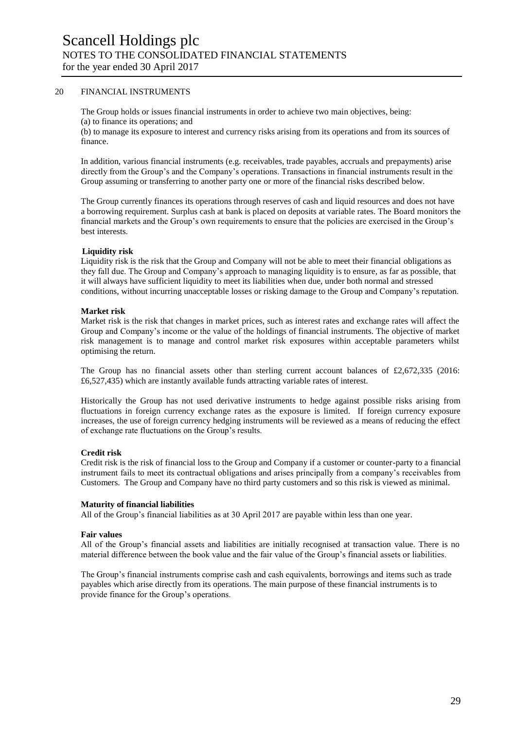# 20 FINANCIAL INSTRUMENTS

The Group holds or issues financial instruments in order to achieve two main objectives, being: (a) to finance its operations; and

(b) to manage its exposure to interest and currency risks arising from its operations and from its sources of finance.

In addition, various financial instruments (e.g. receivables, trade payables, accruals and prepayments) arise directly from the Group's and the Company's operations. Transactions in financial instruments result in the Group assuming or transferring to another party one or more of the financial risks described below.

The Group currently finances its operations through reserves of cash and liquid resources and does not have a borrowing requirement. Surplus cash at bank is placed on deposits at variable rates. The Board monitors the financial markets and the Group's own requirements to ensure that the policies are exercised in the Group's best interests.

# **Liquidity risk**

Liquidity risk is the risk that the Group and Company will not be able to meet their financial obligations as they fall due. The Group and Company's approach to managing liquidity is to ensure, as far as possible, that it will always have sufficient liquidity to meet its liabilities when due, under both normal and stressed conditions, without incurring unacceptable losses or risking damage to the Group and Company's reputation.

#### **Market risk**

Market risk is the risk that changes in market prices, such as interest rates and exchange rates will affect the Group and Company's income or the value of the holdings of financial instruments. The objective of market risk management is to manage and control market risk exposures within acceptable parameters whilst optimising the return.

The Group has no financial assets other than sterling current account balances of £2,672,335 (2016: £6,527,435) which are instantly available funds attracting variable rates of interest.

Historically the Group has not used derivative instruments to hedge against possible risks arising from fluctuations in foreign currency exchange rates as the exposure is limited. If foreign currency exposure increases, the use of foreign currency hedging instruments will be reviewed as a means of reducing the effect of exchange rate fluctuations on the Group's results.

#### **Credit risk**

Credit risk is the risk of financial loss to the Group and Company if a customer or counter-party to a financial instrument fails to meet its contractual obligations and arises principally from a company's receivables from Customers. The Group and Company have no third party customers and so this risk is viewed as minimal.

#### **Maturity of financial liabilities**

All of the Group's financial liabilities as at 30 April 2017 are payable within less than one year.

#### **Fair values**

All of the Group's financial assets and liabilities are initially recognised at transaction value. There is no material difference between the book value and the fair value of the Group's financial assets or liabilities.

The Group's financial instruments comprise cash and cash equivalents, borrowings and items such as trade payables which arise directly from its operations. The main purpose of these financial instruments is to provide finance for the Group's operations.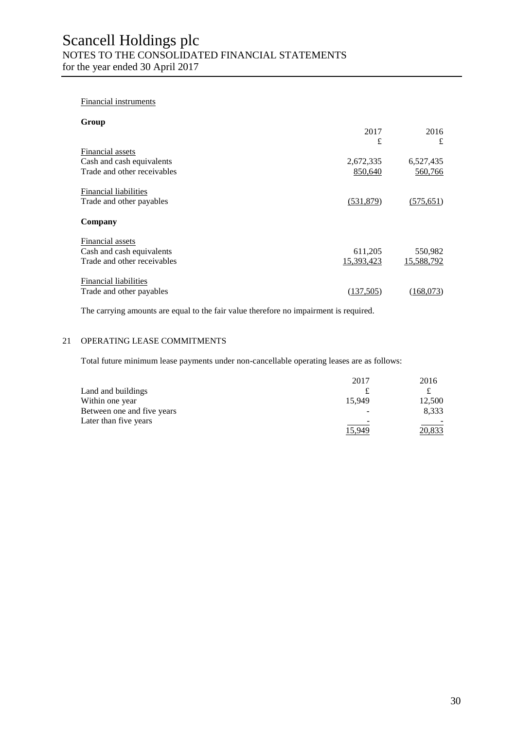# Financial instruments

| Group                        |            |            |
|------------------------------|------------|------------|
|                              | 2017<br>£  | 2016<br>£  |
| Financial assets             |            |            |
| Cash and cash equivalents    | 2,672,335  | 6,527,435  |
| Trade and other receivables  | 850,640    | 560,766    |
| <b>Financial liabilities</b> |            |            |
| Trade and other payables     | (531,879)  | (575, 651) |
| Company                      |            |            |
| Financial assets             |            |            |
| Cash and cash equivalents    | 611,205    | 550,982    |
| Trade and other receivables  | 15,393,423 | 15,588,792 |
| <b>Financial liabilities</b> |            |            |
| Trade and other payables     | (137,505)  | (168.073)  |

The carrying amounts are equal to the fair value therefore no impairment is required.

# 21 OPERATING LEASE COMMITMENTS

Total future minimum lease payments under non-cancellable operating leases are as follows:

|                            | 2017   | 2016   |
|----------------------------|--------|--------|
| Land and buildings         |        |        |
| Within one year            | 15.949 | 12,500 |
| Between one and five years |        | 8,333  |
| Later than five years      | -      |        |
|                            | 5.949  | .833   |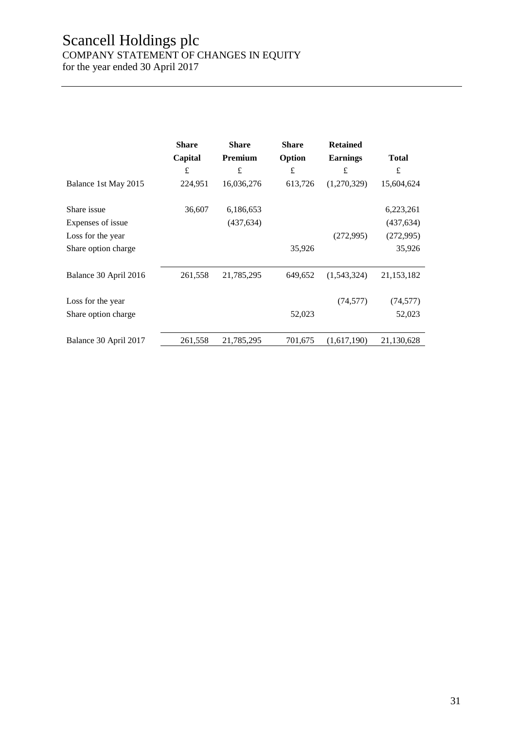# Scancell Holdings plc

COMPANY STATEMENT OF CHANGES IN EQUITY

for the year ended 30 April 2017

|                       | <b>Share</b><br>Capital | <b>Share</b><br>Premium | <b>Share</b><br>Option | <b>Retained</b><br><b>Earnings</b> | <b>Total</b> |
|-----------------------|-------------------------|-------------------------|------------------------|------------------------------------|--------------|
|                       |                         |                         |                        |                                    |              |
|                       | $\pounds$               | £                       | $\pounds$              | £                                  | £            |
| Balance 1st May 2015  | 224,951                 | 16,036,276              | 613,726                | (1,270,329)                        | 15,604,624   |
| Share issue           | 36,607                  | 6,186,653               |                        |                                    | 6,223,261    |
| Expenses of issue     |                         | (437, 634)              |                        |                                    | (437, 634)   |
| Loss for the year     |                         |                         |                        | (272,995)                          | (272,995)    |
| Share option charge   |                         |                         | 35,926                 |                                    | 35,926       |
| Balance 30 April 2016 | 261,558                 | 21,785,295              | 649,652                | (1,543,324)                        | 21,153,182   |
| Loss for the year     |                         |                         |                        | (74, 577)                          | (74, 577)    |
| Share option charge   |                         |                         | 52,023                 |                                    | 52,023       |
| Balance 30 April 2017 | 261,558                 | 21,785,295              | 701,675                | (1,617,190)                        | 21,130,628   |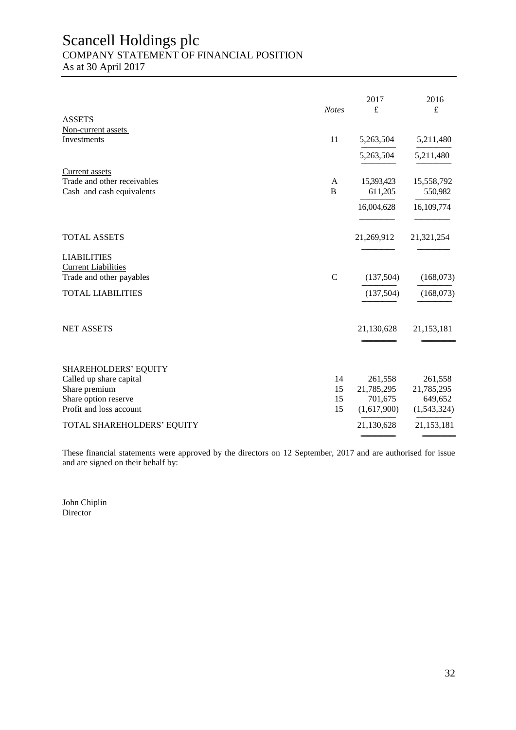# Scancell Holdings plc COMPANY STATEMENT OF FINANCIAL POSITION

As at 30 April 2017

|                             |              | 2017<br>$\pounds$ | 2016        |
|-----------------------------|--------------|-------------------|-------------|
| <b>ASSETS</b>               | <b>Notes</b> |                   | $\pounds$   |
| Non-current assets          |              |                   |             |
| Investments                 | 11           | 5,263,504         | 5,211,480   |
|                             |              | 5,263,504         | 5,211,480   |
| <b>Current</b> assets       |              |                   |             |
| Trade and other receivables | A            | 15,393,423        | 15,558,792  |
| Cash and cash equivalents   | $\, {\bf B}$ | 611,205           | 550,982     |
|                             |              | 16,004,628        | 16,109,774  |
| <b>TOTAL ASSETS</b>         |              | 21,269,912        | 21,321,254  |
| <b>LIABILITIES</b>          |              |                   |             |
| <b>Current Liabilities</b>  |              |                   |             |
| Trade and other payables    | $\mathbf C$  | (137,504)         | (168,073)   |
| <b>TOTAL LIABILITIES</b>    |              | (137,504)         | (168,073)   |
| <b>NET ASSETS</b>           |              | 21,130,628        | 21,153,181  |
|                             |              |                   |             |
| <b>SHAREHOLDERS' EQUITY</b> |              |                   |             |
| Called up share capital     | 14           | 261,558           | 261,558     |
| Share premium               | 15           | 21,785,295        | 21,785,295  |
| Share option reserve        | 15           | 701,675           | 649,652     |
| Profit and loss account     | 15           | (1,617,900)       | (1,543,324) |
| TOTAL SHAREHOLDERS' EQUITY  |              | 21,130,628        | 21,153,181  |
|                             |              |                   |             |

These financial statements were approved by the directors on 12 September, 2017 and are authorised for issue and are signed on their behalf by:

John Chiplin Director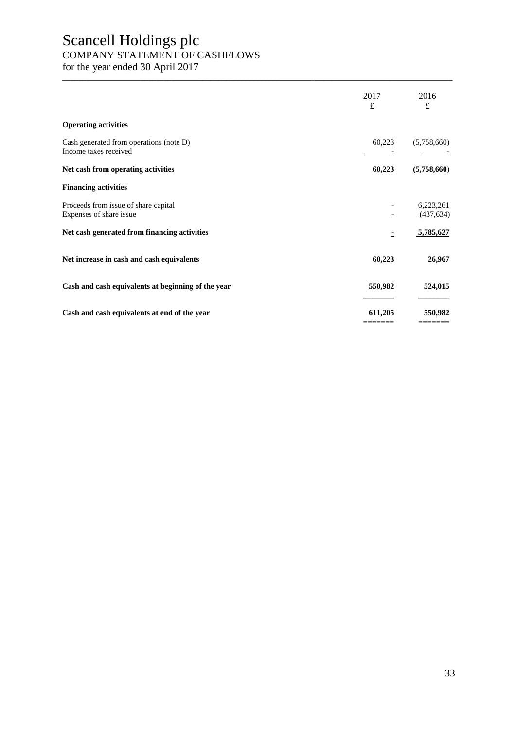# Scancell Holdings plc COMPANY STATEMENT OF CASHFLOWS

for the year ended 30 April 2017

|                                                                  | 2017<br>£          | 2016<br>$\mathbf f$     |
|------------------------------------------------------------------|--------------------|-------------------------|
| <b>Operating activities</b>                                      |                    |                         |
| Cash generated from operations (note D)<br>Income taxes received | 60,223             | (5,758,660)             |
| Net cash from operating activities                               | 60,223             | (5,758,660)             |
| <b>Financing activities</b>                                      |                    |                         |
| Proceeds from issue of share capital<br>Expenses of share issue  |                    | 6,223,261<br>(437, 634) |
| Net cash generated from financing activities                     | Ξ                  | 5,785,627               |
| Net increase in cash and cash equivalents                        | 60,223             | 26,967                  |
| Cash and cash equivalents at beginning of the year               | 550,982            | 524,015                 |
| Cash and cash equivalents at end of the year                     | 611.205<br>======= | 550,982<br>=======      |

\_\_\_\_\_\_\_\_\_\_\_\_\_\_\_\_\_\_\_\_\_\_\_\_\_\_\_\_\_\_\_\_\_\_\_\_\_\_\_\_\_\_\_\_\_\_\_\_\_\_\_\_\_\_\_\_\_\_\_\_\_\_\_\_\_\_\_\_\_\_\_\_\_\_\_\_\_\_\_\_\_\_\_\_\_\_\_\_\_\_\_\_\_\_\_\_\_\_\_\_